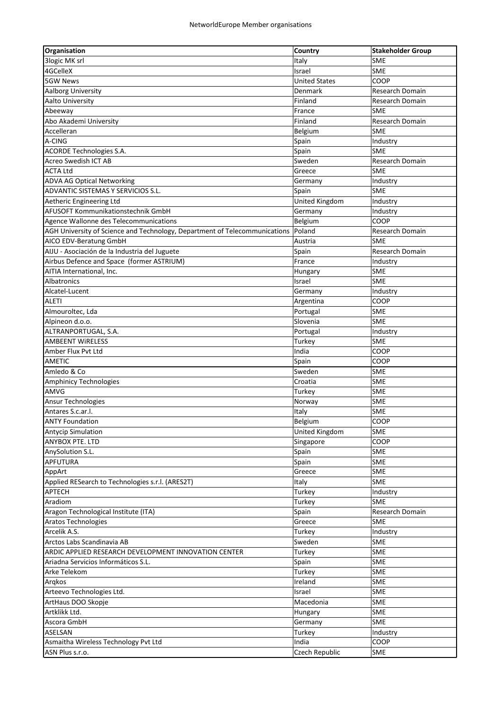| <b>Organisation</b>                                                        | Country              | <b>Stakeholder Group</b> |
|----------------------------------------------------------------------------|----------------------|--------------------------|
| 3logic MK srl                                                              | Italy                | <b>SME</b>               |
| 4GCelleX                                                                   | Israel               | <b>SME</b>               |
| <b>5GW News</b>                                                            | <b>United States</b> | COOP                     |
| Aalborg University                                                         | Denmark              | <b>Research Domain</b>   |
| Aalto University                                                           | Finland              | Research Domain          |
| Abeeway                                                                    | France               | SME                      |
| Abo Akademi University                                                     | Finland              | Research Domain          |
| Accelleran                                                                 |                      | <b>SME</b>               |
| A-CING                                                                     | Belgium<br>Spain     |                          |
|                                                                            |                      | Industry<br><b>SME</b>   |
| ACORDE Technologies S.A.<br><b>Acreo Swedish ICT AB</b>                    | Spain<br>Sweden      |                          |
| <b>ACTA Ltd</b>                                                            |                      | Research Domain          |
|                                                                            | Greece               | SME                      |
| <b>ADVA AG Optical Networking</b>                                          | Germany              | Industry                 |
| ADVANTIC SISTEMAS Y SERVICIOS S.L.                                         | Spain                | <b>SME</b>               |
| Aetheric Engineering Ltd                                                   | United Kingdom       | Industry                 |
| AFUSOFT Kommunikationstechnik GmbH                                         | Germany              | Industry                 |
| Agence Wallonne des Telecommunications                                     | Belgium              | COOP                     |
| AGH University of Science and Technology, Department of Telecommunications | Poland               | Research Domain          |
| AICO EDV-Beratung GmbH                                                     | Austria              | <b>SME</b>               |
| AIJU - Asociación de la Industria del Juguete                              | Spain                | Research Domain          |
| Airbus Defence and Space (former ASTRIUM)                                  | France               | Industry                 |
| AITIA International, Inc.                                                  | Hungary              | <b>SME</b>               |
| Albatronics                                                                | Israel               | <b>SME</b>               |
| Alcatel-Lucent                                                             | Germany              | Industry                 |
| <b>ALETI</b>                                                               | Argentina            | COOP                     |
| Almouroltec, Lda                                                           | Portugal             | SME                      |
| Alpineon d.o.o.                                                            | Slovenia             | <b>SME</b>               |
| ALTRANPORTUGAL, S.A.                                                       | Portugal             | Industry                 |
| <b>AMBEENT WIRELESS</b>                                                    | Turkey               | <b>SME</b>               |
| Amber Flux Pvt Ltd                                                         | India                | COOP                     |
| AMETIC                                                                     | Spain                | COOP                     |
| Amledo & Co                                                                | Sweden               | <b>SME</b>               |
| <b>Amphinicy Technologies</b>                                              | Croatia              | <b>SME</b>               |
| AMVG                                                                       | Turkey               | <b>SME</b>               |
| <b>Ansur Technologies</b>                                                  | Norway               | <b>SME</b>               |
| Antares S.c.ar.l.                                                          | Italy                | SME                      |
| <b>ANTY Foundation</b>                                                     | Belgium              | COOP                     |
| <b>Antycip Simulation</b>                                                  | United Kingdom       | SME                      |
| <b>ANYBOX PTE. LTD</b>                                                     | Singapore            | COOP                     |
|                                                                            |                      |                          |
| AnySolution S.L.<br><b>APFUTURA</b>                                        | Spain                | SME<br>SME               |
|                                                                            | Spain                |                          |
| AppArt                                                                     | Greece               | <b>SME</b>               |
| Applied RESearch to Technologies s.r.l. (ARES2T)                           | Italy                | SME                      |
| APTECH                                                                     | Turkey               | Industry                 |
| Aradiom                                                                    | Turkey               | <b>SME</b>               |
| Aragon Technological Institute (ITA)                                       | Spain                | Research Domain          |
| <b>Aratos Technologies</b>                                                 | Greece               | <b>SME</b>               |
| Arcelik A.S.                                                               | Turkey               | Industry                 |
| Arctos Labs Scandinavia AB                                                 | Sweden               | SME                      |
| ARDIC APPLIED RESEARCH DEVELOPMENT INNOVATION CENTER                       | Turkey               | SME                      |
| Ariadna Servicios Informáticos S.L.                                        | Spain                | <b>SME</b>               |
| Arke Telekom                                                               | Turkey               | <b>SME</b>               |
| Argkos                                                                     | Ireland              | SME                      |
| Arteevo Technologies Ltd.                                                  | Israel               | SME                      |
| ArtHaus DOO Skopje                                                         | Macedonia            | SME                      |
| Artklikk Ltd.                                                              | Hungary              | <b>SME</b>               |
| Ascora GmbH                                                                | Germany              | SME                      |
| ASELSAN                                                                    | Turkey               | Industry                 |
| Asmaitha Wireless Technology Pvt Ltd                                       | India                | COOP                     |
| ASN Plus s.r.o.                                                            | Czech Republic       | <b>SME</b>               |
|                                                                            |                      |                          |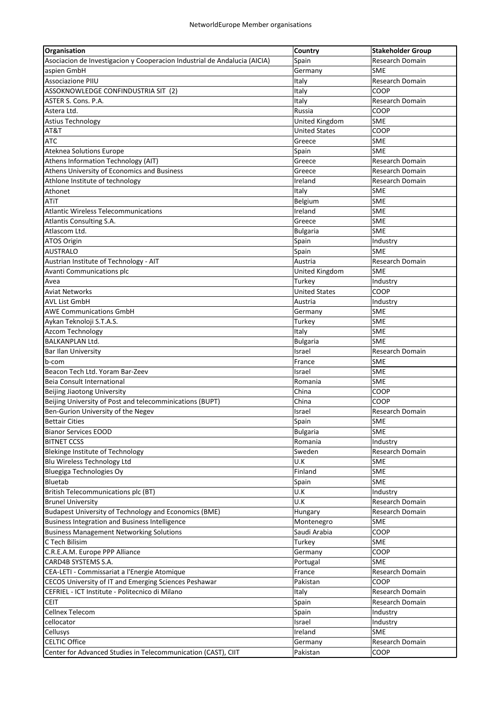| Organisation                                                              | Country              | <b>Stakeholder Group</b> |
|---------------------------------------------------------------------------|----------------------|--------------------------|
| Asociacion de Investigacion y Cooperacion Industrial de Andalucia (AICIA) | Spain                | Research Domain          |
| aspien GmbH                                                               | Germany              | SME                      |
| <b>Associazione PIIU</b>                                                  | Italy                | Research Domain          |
| ASSOKNOWLEDGE CONFINDUSTRIA SIT (2)                                       | Italy                | COOP                     |
| ASTER S. Cons. P.A.                                                       | Italy                | <b>Research Domain</b>   |
| Astera Ltd.                                                               | Russia               | COOP                     |
| Astius Technology                                                         | United Kingdom       | SME                      |
| AT&T                                                                      | <b>United States</b> | COOP                     |
| <b>ATC</b>                                                                | Greece               | <b>SME</b>               |
| Ateknea Solutions Europe                                                  | Spain                | SME                      |
| Athens Information Technology (AIT)                                       | Greece               | Research Domain          |
| Athens University of Economics and Business                               | Greece               | Research Domain          |
| Athlone Institute of technology                                           | Ireland              | Research Domain          |
| Athonet                                                                   | Italy                | <b>SME</b>               |
| ATiT                                                                      | Belgium              | <b>SME</b>               |
| <b>Atlantic Wireless Telecommunications</b>                               | Ireland              | <b>SME</b>               |
| Atlantis Consulting S.A.                                                  | Greece               | <b>SME</b>               |
| Atlascom Ltd.                                                             | <b>Bulgaria</b>      | <b>SME</b>               |
| ATOS Origin                                                               | Spain                | Industry                 |
| <b>AUSTRALO</b>                                                           | Spain                | <b>SME</b>               |
| Austrian Institute of Technology - AIT                                    | Austria              | Research Domain          |
| <b>Avanti Communications plc</b>                                          | United Kingdom       | <b>SME</b>               |
| Avea                                                                      | Turkey               | Industry                 |
| Aviat Networks                                                            | <b>United States</b> | COOP                     |
| AVL List GmbH                                                             | Austria              | Industry                 |
| <b>AWE Communications GmbH</b>                                            | Germany              | <b>SME</b>               |
| Aykan Teknoloji S.T.A.S.                                                  | Turkey               | <b>SME</b>               |
| Azcom Technology                                                          | Italy                | <b>SME</b>               |
| <b>BALKANPLAN Ltd.</b>                                                    | <b>Bulgaria</b>      | SME                      |
| <b>Bar Ilan University</b>                                                | Israel               | Research Domain          |
| b-com                                                                     | France               | <b>SME</b>               |
| Beacon Tech Ltd. Yoram Bar-Zeev                                           | Israel               | <b>SME</b>               |
| <b>Beia Consult International</b>                                         | Romania              | <b>SME</b>               |
| Beijing Jiaotong University                                               | China                | COOP                     |
| Beijing University of Post and telecomminications (BUPT)                  | China                | COOP                     |
| Ben-Gurion University of the Negev                                        | Israel               | Research Domain          |
| <b>Bettair Cities</b>                                                     | Spain                | SME                      |
| <b>Bianor Services EOOD</b>                                               | Bulgaria             | <b>SME</b>               |
| <b>BITNET CCSS</b>                                                        | Romania              | Industry                 |
| <b>Blekinge Institute of Technology</b>                                   | Sweden               | Research Domain          |
| Blu Wireless Technology Ltd                                               | U.K                  | <b>SME</b>               |
| Bluegiga Technologies Oy                                                  | Finland              | <b>SME</b>               |
| Bluetab                                                                   | Spain                | <b>SME</b>               |
| British Telecommunications plc (BT)                                       | U.K                  | Industry                 |
| <b>Brunel University</b>                                                  | U.K                  | Research Domain          |
| <b>Budapest University of Technology and Economics (BME)</b>              | Hungary              | Research Domain          |
| Business Integration and Business Intelligence                            | Montenegro           | <b>SME</b>               |
| <b>Business Management Networking Solutions</b>                           | Saudi Arabia         | COOP                     |
| C Tech Bilisim                                                            | Turkey               | <b>SME</b>               |
| C.R.E.A.M. Europe PPP Alliance                                            | Germany              | COOP                     |
| CARD4B SYSTEMS S.A.                                                       | Portugal             | SME                      |
| CEA-LETI - Commissariat a l'Energie Atomique                              | France               | Research Domain          |
| CECOS University of IT and Emerging Sciences Peshawar                     | Pakistan             | COOP                     |
| CEFRIEL - ICT Institute - Politecnico di Milano                           | Italy                | Research Domain          |
| <b>CEIT</b>                                                               | Spain                | Research Domain          |
| Cellnex Telecom                                                           | Spain                | Industry                 |
| cellocator                                                                | Israel               | Industry                 |
| Cellusys                                                                  | Ireland              | SME                      |
| <b>CELTIC Office</b>                                                      | Germany              | Research Domain          |
| Center for Advanced Studies in Telecommunication (CAST), CIIT             | Pakistan             | COOP                     |
|                                                                           |                      |                          |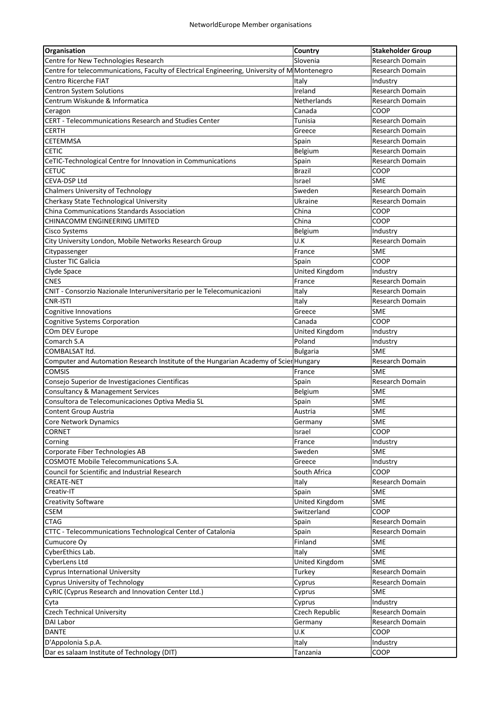| <b>Organisation</b>                                                                                   | Country               | <b>Stakeholder Group</b> |
|-------------------------------------------------------------------------------------------------------|-----------------------|--------------------------|
| Centre for New Technologies Research                                                                  | Slovenia              | Research Domain          |
| Centre for telecommunications, Faculty of Electrical Engineering, University of M Montenegro          |                       | <b>Research Domain</b>   |
| Centro Ricerche FIAT                                                                                  | Italy                 | Industry                 |
| Centron System Solutions                                                                              | Ireland               | Research Domain          |
| Centrum Wiskunde & Informatica                                                                        | Netherlands           | Research Domain          |
| Ceragon                                                                                               | Canada                | COOP                     |
| CERT - Telecommunications Research and Studies Center                                                 | Tunisia               | Research Domain          |
| <b>CERTH</b>                                                                                          | Greece                | Research Domain          |
| <b>CETEMMSA</b>                                                                                       | Spain                 | Research Domain          |
| <b>CETIC</b>                                                                                          | Belgium               | Research Domain          |
| CeTIC-Technological Centre for Innovation in Communications                                           | Spain                 | Research Domain          |
| <b>CETUC</b>                                                                                          | <b>Brazil</b>         | COOP                     |
| CEVA-DSP Ltd                                                                                          | Israel                | <b>SME</b>               |
| <b>Chalmers University of Technology</b>                                                              | Sweden                | Research Domain          |
| Cherkasy State Technological University                                                               | Ukraine               | Research Domain          |
| China Communications Standards Association                                                            | China                 | COOP                     |
| <b>CHINACOMM ENGINEERING LIMITED</b>                                                                  | China                 | COOP                     |
| <b>Cisco Systems</b>                                                                                  | Belgium               | Industry                 |
| City University London, Mobile Networks Research Group                                                | U.K                   | Research Domain          |
| Citypassenger                                                                                         | France                | <b>SME</b>               |
| Cluster TIC Galicia                                                                                   | Spain                 | COOP                     |
| Clyde Space                                                                                           | <b>United Kingdom</b> | Industry                 |
| <b>CNES</b>                                                                                           | France                | Research Domain          |
| CNIT - Consorzio Nazionale Interuniversitario per le Telecomunicazioni                                | Italy                 | Research Domain          |
| CNR-ISTI                                                                                              |                       |                          |
|                                                                                                       | Italy                 | Research Domain<br>SME   |
| Cognitive Innovations                                                                                 | Greece                | COOP                     |
| <b>Cognitive Systems Corporation</b>                                                                  | Canada                |                          |
| COm DEV Europe<br>Comarch S.A                                                                         | United Kingdom        | Industry                 |
|                                                                                                       | Poland                | Industry                 |
| COMBALSAT ltd.                                                                                        | <b>Bulgaria</b>       | <b>SME</b>               |
| Computer and Automation Research Institute of the Hungarian Academy of Scier Hungary<br><b>COMSIS</b> |                       | Research Domain          |
|                                                                                                       | France                | <b>SME</b>               |
| Consejo Superior de Investigaciones Cientificas                                                       | Spain                 | Research Domain          |
| <b>Consultancy &amp; Management Services</b>                                                          | Belgium               | <b>SME</b>               |
| Consultora de Telecomunicaciones Optiva Media SL                                                      | Spain                 | <b>SME</b>               |
| Content Group Austria                                                                                 | Austria               | <b>SME</b>               |
| Core Network Dynamics                                                                                 | Germany               | <b>SME</b>               |
| <b>CORNET</b>                                                                                         | Israel                | <b>COOP</b>              |
| Corning                                                                                               | France                | Industry                 |
| Corporate Fiber Technologies AB                                                                       | Sweden                | <b>SME</b>               |
| COSMOTE Mobile Telecommunications S.A.                                                                | Greece                | Industry                 |
| Council for Scientific and Industrial Research                                                        | South Africa          | <b>COOP</b>              |
| CREATE-NET                                                                                            | Italy                 | Research Domain          |
| Creativ-IT                                                                                            | Spain                 | <b>SME</b>               |
| <b>Creativity Software</b>                                                                            | United Kingdom        | SME                      |
| <b>CSEM</b>                                                                                           | Switzerland           | COOP                     |
| <b>CTAG</b>                                                                                           | Spain                 | Research Domain          |
| CTTC - Telecommunications Technological Center of Catalonia                                           | Spain                 | Research Domain          |
| Cumucore Oy                                                                                           | Finland               | <b>SME</b>               |
| CyberEthics Lab.                                                                                      | Italy                 | SME                      |
| CyberLens Ltd                                                                                         | United Kingdom        | <b>SME</b>               |
| <b>Cyprus International University</b>                                                                | Turkey                | Research Domain          |
| <b>Cyprus University of Technology</b>                                                                | Cyprus                | Research Domain          |
| CyRIC (Cyprus Research and Innovation Center Ltd.)                                                    | Cyprus                | <b>SME</b>               |
| Cyta                                                                                                  | Cyprus                | Industry                 |
| <b>Czech Technical University</b>                                                                     | Czech Republic        | Research Domain          |
| DAI Labor                                                                                             | Germany               | Research Domain          |
| <b>DANTE</b>                                                                                          | U.K                   | COOP                     |
| D'Appolonia S.p.A.                                                                                    | Italy                 | Industry                 |
| Dar es salaam Institute of Technology (DIT)                                                           | Tanzania              | COOP                     |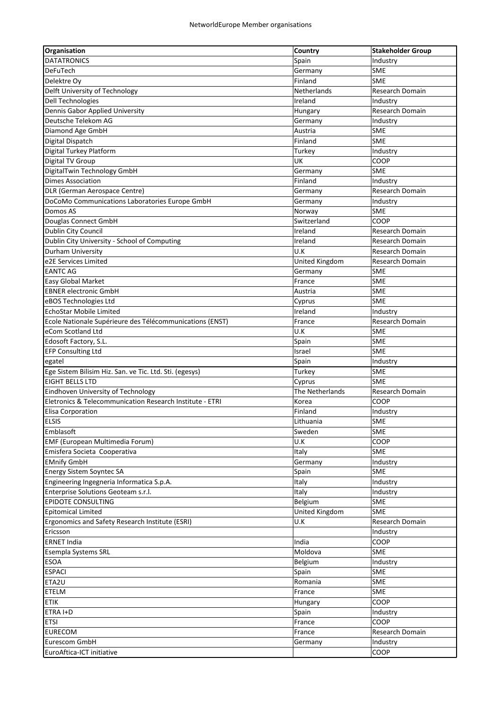| <b>Organisation</b>                                      | Country               | <b>Stakeholder Group</b> |
|----------------------------------------------------------|-----------------------|--------------------------|
| <b>DATATRONICS</b>                                       | Spain                 | Industry                 |
| <b>DeFuTech</b>                                          | Germany               | SME                      |
| Delektre Oy                                              | Finland               | SME                      |
| Delft University of Technology                           | Netherlands           | Research Domain          |
| Dell Technologies                                        | Ireland               | Industry                 |
| Dennis Gabor Applied University                          | Hungary               | Research Domain          |
| Deutsche Telekom AG                                      | Germany               | Industry                 |
| Diamond Age GmbH                                         | Austria               | <b>SME</b>               |
| Digital Dispatch                                         | Finland               | <b>SME</b>               |
| Digital Turkey Platform                                  | Turkey                | Industry                 |
| Digital TV Group                                         | UK                    | COOP                     |
| DigitalTwin Technology GmbH                              | Germany               | <b>SME</b>               |
| <b>Dimes Association</b>                                 | Finland               | Industry                 |
| DLR (German Aerospace Centre)                            | Germany               | Research Domain          |
| DoCoMo Communications Laboratories Europe GmbH           | Germany               | Industry                 |
| Domos AS                                                 | Norway                | <b>SME</b>               |
| Douglas Connect GmbH                                     | Switzerland           | COOP                     |
| Dublin City Council                                      | Ireland               | Research Domain          |
| Dublin City University - School of Computing             | Ireland               | <b>Research Domain</b>   |
| Durham University                                        | U.K                   | Research Domain          |
| e2E Services Limited                                     | <b>United Kingdom</b> | Research Domain          |
| <b>EANTC AG</b>                                          | Germany               | <b>SME</b>               |
| Easy Global Market                                       | France                | SME                      |
| <b>EBNER electronic GmbH</b>                             | Austria               | <b>SME</b>               |
|                                                          |                       | <b>SME</b>               |
| eBOS Technologies Ltd<br><b>EchoStar Mobile Limited</b>  | Cyprus<br>Ireland     |                          |
|                                                          |                       | Industry                 |
| Ecole Nationale Supérieure des Télécommunications (ENST) | France                | Research Domain          |
| eCom Scotland Ltd                                        | U.K                   | <b>SME</b>               |
| Edosoft Factory, S.L.                                    | Spain                 | <b>SME</b>               |
| <b>EFP Consulting Ltd</b>                                | Israel                | <b>SME</b>               |
| egatel                                                   | Spain                 | Industry                 |
| Ege Sistem Bilisim Hiz. San. ve Tic. Ltd. Sti. (egesys)  | Turkey                | <b>SME</b>               |
| EIGHT BELLS LTD                                          | Cyprus                | <b>SME</b>               |
| Eindhoven University of Technology                       | The Netherlands       | Research Domain          |
| Eletronics & Telecommunication Research Institute - ETRI | Korea                 | COOP                     |
| Elisa Corporation                                        | Finland               | Industry                 |
| <b>ELSIS</b>                                             | Lithuania             | SME                      |
| Emblasoft                                                | Sweden                | SME                      |
| EMF (European Multimedia Forum)                          | U.K                   | COOP                     |
| Emisfera Societa Cooperativa                             | Italy                 | SME                      |
| <b>EMnify GmbH</b>                                       | Germany               | Industry                 |
| <b>Energy Sistem Soyntec SA</b>                          | Spain                 | <b>SME</b>               |
| Engineering Ingegneria Informatica S.p.A.                | Italy                 | Industry                 |
| Enterprise Solutions Geoteam s.r.l.                      | Italy                 | Industry                 |
| EPIDOTE CONSULTING                                       | Belgium               | SME                      |
| <b>Epitomical Limited</b>                                | <b>United Kingdom</b> | <b>SME</b>               |
| Ergonomics and Safety Research Institute (ESRI)          | U.K                   | Research Domain          |
| Ericsson                                                 |                       | Industry                 |
| <b>ERNET India</b>                                       | India                 | COOP                     |
| Esempla Systems SRL                                      | Moldova               | <b>SME</b>               |
| ESOA                                                     | Belgium               | Industry                 |
| <b>ESPACI</b>                                            | Spain                 | SME                      |
| ETA2U                                                    | Romania               | SME                      |
| ETELM                                                    | France                | SME                      |
| <b>ETIK</b>                                              | Hungary               | COOP                     |
| ETRA I+D                                                 | Spain                 | Industry                 |
| <b>ETSI</b>                                              | France                | COOP                     |
| <b>EURECOM</b>                                           | France                | Research Domain          |
| Eurescom GmbH                                            | Germany               | Industry                 |
| EuroAftica-ICT initiative                                |                       | COOP                     |
|                                                          |                       |                          |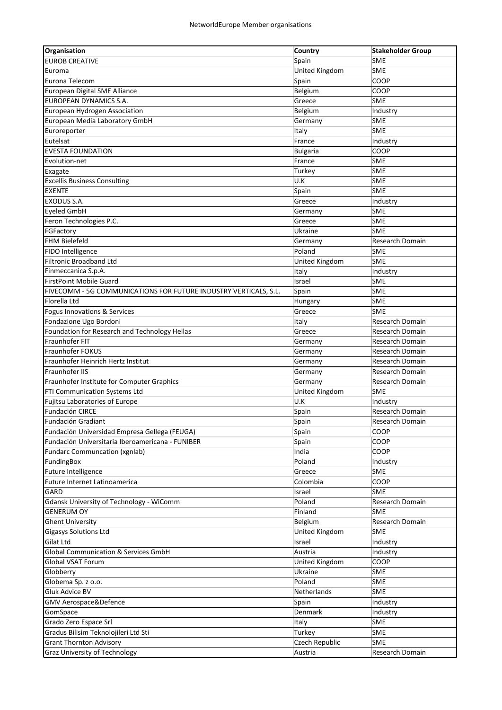| Organisation                                                     | Country               | <b>Stakeholder Group</b> |
|------------------------------------------------------------------|-----------------------|--------------------------|
| <b>EUROB CREATIVE</b>                                            | Spain                 | <b>SME</b>               |
| Euroma                                                           | <b>United Kingdom</b> | <b>SME</b>               |
| Eurona Telecom                                                   | Spain                 | COOP                     |
| European Digital SME Alliance                                    | Belgium               | COOP                     |
| EUROPEAN DYNAMICS S.A.                                           | Greece                | <b>SME</b>               |
| European Hydrogen Association                                    | Belgium               | Industry                 |
| European Media Laboratory GmbH                                   | Germany               | <b>SME</b>               |
| Euroreporter                                                     | Italy                 | <b>SME</b>               |
| Eutelsat                                                         | France                | Industry                 |
| <b>EVESTA FOUNDATION</b>                                         | <b>Bulgaria</b>       | COOP                     |
| Evolution-net                                                    | France                | <b>SME</b>               |
| Exagate                                                          | Turkey                | <b>SME</b>               |
| <b>Excellis Business Consulting</b>                              | U.K                   | <b>SME</b>               |
| <b>EXENTE</b>                                                    | Spain                 | <b>SME</b>               |
| EXODUS S.A.                                                      | Greece                | Industry                 |
| Eyeled GmbH                                                      | Germany               | <b>SME</b>               |
| Feron Technologies P.C.                                          | Greece                | <b>SME</b>               |
| FGFactory                                                        | Ukraine               | <b>SME</b>               |
| <b>FHM Bielefeld</b>                                             |                       | Research Domain          |
| <b>FIDO Intelligence</b>                                         | Germany<br>Poland     | <b>SME</b>               |
|                                                                  |                       |                          |
| <b>Filtronic Broadband Ltd</b>                                   | <b>United Kingdom</b> | <b>SME</b>               |
| Finmeccanica S.p.A.                                              | Italy                 | Industry                 |
| <b>FirstPoint Mobile Guard</b>                                   | Israel                | <b>SME</b>               |
| FIVECOMM - 5G COMMUNICATIONS FOR FUTURE INDUSTRY VERTICALS, S.L. | Spain                 | <b>SME</b>               |
| Florella Ltd                                                     | Hungary               | SME                      |
| Fogus Innovations & Services                                     | Greece                | <b>SME</b>               |
| Fondazione Ugo Bordoni                                           | Italy                 | Research Domain          |
| Foundation for Research and Technology Hellas                    | Greece                | Research Domain          |
| Fraunhofer FIT                                                   | Germany               | Research Domain          |
| Fraunhofer FOKUS                                                 | Germany               | Research Domain          |
| Fraunhofer Heinrich Hertz Institut                               | Germany               | Research Domain          |
| Fraunhofer IIS                                                   | Germany               | Research Domain          |
| Fraunhofer Institute for Computer Graphics                       | Germany               | Research Domain          |
| FTI Communication Systems Ltd                                    | United Kingdom        | SME                      |
| Fujitsu Laboratories of Europe                                   | U.K                   | Industry                 |
| Fundación CIRCE                                                  | Spain                 | Research Domain          |
| Fundación Gradiant                                               | Spain                 | Research Domain          |
| Fundación Universidad Empresa Gellega (FEUGA)                    | Spain                 | COOP                     |
| Fundación Universitaria Iberoamericana - FUNIBER                 | Spain                 | COOP                     |
| <b>Fundarc Communcation (xgnlab)</b>                             | India                 | COOP                     |
| FundingBox                                                       | Poland                | Industry                 |
| Future Intelligence                                              | Greece                | <b>SME</b>               |
| Future Internet Latinoamerica                                    | Colombia              | COOP                     |
| GARD                                                             | Israel                | <b>SME</b>               |
| Gdansk University of Technology - WiComm                         | Poland                | Research Domain          |
| <b>GENERUM OY</b>                                                | Finland               | <b>SME</b>               |
| <b>Ghent University</b>                                          | Belgium               | Research Domain          |
| Gigasys Solutions Ltd                                            | <b>United Kingdom</b> | <b>SME</b>               |
| Gilat Ltd                                                        | Israel                | Industry                 |
| <b>Global Communication &amp; Services GmbH</b>                  | Austria               | Industry                 |
| Global VSAT Forum                                                | United Kingdom        | COOP                     |
| Globberry                                                        | Ukraine               | SME                      |
| Globema Sp. z o.o.                                               | Poland                | SME                      |
| Gluk Advice BV                                                   | Netherlands           | SME                      |
| GMV Aerospace&Defence                                            | Spain                 | Industry                 |
|                                                                  | Denmark               |                          |
| GomSpace                                                         |                       | Industry                 |
| Grado Zero Espace Srl                                            | Italy                 | <b>SME</b>               |
| Gradus Bilisim Teknolojileri Ltd Sti                             | Turkey                | SME                      |
| <b>Grant Thornton Advisory</b>                                   | Czech Republic        | <b>SME</b>               |
| Graz University of Technology                                    | Austria               | Research Domain          |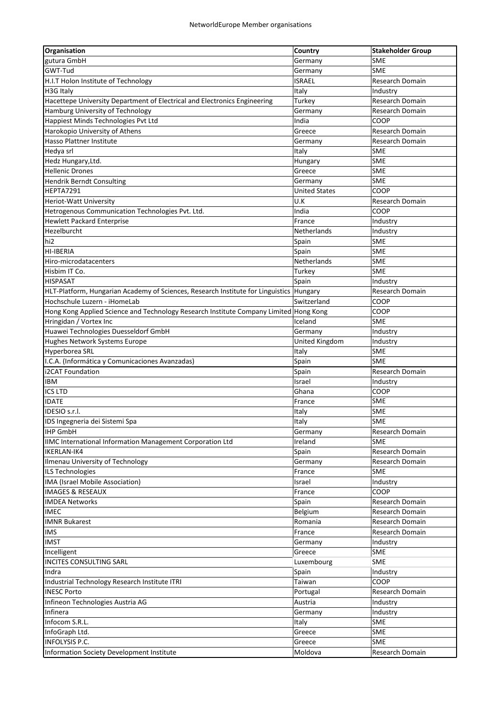| gutura GmbH<br><b>SME</b><br>Germany<br>GWT-Tud<br><b>SME</b><br>Germany<br><b>ISRAEL</b><br>H.I.T Holon Institute of Technology<br>Research Domain<br>H3G Italy<br>Italy<br>Industry<br>Hacettepe University Department of Electrical and Electronics Engineering<br>Turkey<br>Research Domain<br>Hamburg University of Technology<br>Germany<br>Research Domain<br>Happiest Minds Technologies Pvt Ltd<br>India<br>COOP<br>Harokopio University of Athens<br>Greece<br>Research Domain<br>Hasso Plattner Institute<br><b>Research Domain</b><br>Germany<br>Hedya srl<br><b>SME</b><br>Italy<br>SME<br>Hedz Hungary, Ltd.<br>Hungary<br>SME<br><b>Hellenic Drones</b><br>Greece<br>SME<br><b>Hendrik Berndt Consulting</b><br>Germany<br>HEPTA7291<br><b>United States</b><br>COOP<br>U.K<br><b>Heriot-Watt University</b><br>Research Domain<br>Hetrogenous Communication Technologies Pvt. Ltd.<br>India<br>COOP<br><b>Hewlett Packard Enterprise</b><br>France<br>Industry<br>Hezelburcht<br>Netherlands<br>Industry<br>Spain<br><b>SME</b><br>hi <sub>2</sub><br>SME<br>HI-IBERIA<br>Spain<br>SME<br>Netherlands<br>Hiro-microdatacenters<br><b>SME</b><br>Hisbim IT Co.<br>Turkey<br><b>HISPASAT</b><br>Spain<br>Industry<br>HLT-Platform, Hungarian Academy of Sciences, Research Institute for Linguistics Hungary<br>Research Domain<br>Hochschule Luzern - iHomeLab<br>Switzerland<br>COOP<br>COOP<br>Hong Kong Applied Science and Technology Research Institute Company Limited Hong Kong<br>Hringidan / Vortex Inc<br>Iceland<br><b>SME</b><br>Huawei Technologies Duesseldorf GmbH<br>Germany<br>Industry<br>Hughes Network Systems Europe<br>United Kingdom<br>Industry<br>Hyperborea SRL<br>Italy<br><b>SME</b><br>Spain<br>I.C.A. (Informática y Comunicaciones Avanzadas)<br><b>SME</b><br>i2CAT Foundation<br>Spain<br>Research Domain<br><b>IBM</b><br>Israel<br>Industry<br><b>ICS LTD</b><br>Ghana<br>COOP<br>SME<br><b>IDATE</b><br>France<br>IDESIO s.r.l.<br><b>SME</b><br>Italy<br><b>SME</b><br>IDS Ingegneria dei Sistemi Spa<br>Italy<br><b>IHP GmbH</b><br>Research Domain<br>Germany<br>IIMC International Information Management Corporation Ltd<br><b>SME</b><br>Ireland<br><b>IKERLAN-IK4</b><br>Research Domain<br>Spain<br><b>Ilmenau University of Technology</b><br>Research Domain<br>Germany<br><b>SME</b><br>ILS Technologies<br>France<br>IMA (Israel Mobile Association)<br>Industry<br>Israel<br><b>IMAGES &amp; RESEAUX</b><br>COOP<br>France<br><b>IMDEA Networks</b><br>Research Domain<br>Spain<br><b>IMEC</b><br>Belgium<br>Research Domain<br><b>IMNR Bukarest</b><br>Research Domain<br>Romania<br><b>IMS</b><br>France<br>Research Domain<br><b>IMST</b><br>Industry<br>Germany<br>Incelligent<br>Greece<br>SME<br><b>INCITES CONSULTING SARL</b><br>Luxembourg<br>SME<br>Indra<br>Spain<br>Industry<br>Taiwan<br>COOP<br>Industrial Technology Research Institute ITRI<br><b>INESC Porto</b><br>Research Domain<br>Portugal<br>Infineon Technologies Austria AG<br>Austria<br>Industry<br>Infinera<br>Industry<br>Germany<br>Infocom S.R.L.<br>SME<br>Italy<br>InfoGraph Ltd.<br>Greece<br>SME<br><b>INFOLYSIS P.C.</b><br><b>SME</b><br>Greece<br>Information Society Development Institute<br>Moldova<br>Research Domain | <b>Organisation</b> | <b>Country</b> | <b>Stakeholder Group</b> |
|---------------------------------------------------------------------------------------------------------------------------------------------------------------------------------------------------------------------------------------------------------------------------------------------------------------------------------------------------------------------------------------------------------------------------------------------------------------------------------------------------------------------------------------------------------------------------------------------------------------------------------------------------------------------------------------------------------------------------------------------------------------------------------------------------------------------------------------------------------------------------------------------------------------------------------------------------------------------------------------------------------------------------------------------------------------------------------------------------------------------------------------------------------------------------------------------------------------------------------------------------------------------------------------------------------------------------------------------------------------------------------------------------------------------------------------------------------------------------------------------------------------------------------------------------------------------------------------------------------------------------------------------------------------------------------------------------------------------------------------------------------------------------------------------------------------------------------------------------------------------------------------------------------------------------------------------------------------------------------------------------------------------------------------------------------------------------------------------------------------------------------------------------------------------------------------------------------------------------------------------------------------------------------------------------------------------------------------------------------------------------------------------------------------------------------------------------------------------------------------------------------------------------------------------------------------------------------------------------------------------------------------------------------------------------------------------------------------------------------------------------------------------------------------------------------------------------------------------------------------------------------------------------------------------------------------------------------------------------------------------------------------------------------------------------------------------------------------------------------------------------------------------------------------------------------------------------------------------------------------------------------------------------------|---------------------|----------------|--------------------------|
|                                                                                                                                                                                                                                                                                                                                                                                                                                                                                                                                                                                                                                                                                                                                                                                                                                                                                                                                                                                                                                                                                                                                                                                                                                                                                                                                                                                                                                                                                                                                                                                                                                                                                                                                                                                                                                                                                                                                                                                                                                                                                                                                                                                                                                                                                                                                                                                                                                                                                                                                                                                                                                                                                                                                                                                                                                                                                                                                                                                                                                                                                                                                                                                                                                                                                 |                     |                |                          |
|                                                                                                                                                                                                                                                                                                                                                                                                                                                                                                                                                                                                                                                                                                                                                                                                                                                                                                                                                                                                                                                                                                                                                                                                                                                                                                                                                                                                                                                                                                                                                                                                                                                                                                                                                                                                                                                                                                                                                                                                                                                                                                                                                                                                                                                                                                                                                                                                                                                                                                                                                                                                                                                                                                                                                                                                                                                                                                                                                                                                                                                                                                                                                                                                                                                                                 |                     |                |                          |
|                                                                                                                                                                                                                                                                                                                                                                                                                                                                                                                                                                                                                                                                                                                                                                                                                                                                                                                                                                                                                                                                                                                                                                                                                                                                                                                                                                                                                                                                                                                                                                                                                                                                                                                                                                                                                                                                                                                                                                                                                                                                                                                                                                                                                                                                                                                                                                                                                                                                                                                                                                                                                                                                                                                                                                                                                                                                                                                                                                                                                                                                                                                                                                                                                                                                                 |                     |                |                          |
|                                                                                                                                                                                                                                                                                                                                                                                                                                                                                                                                                                                                                                                                                                                                                                                                                                                                                                                                                                                                                                                                                                                                                                                                                                                                                                                                                                                                                                                                                                                                                                                                                                                                                                                                                                                                                                                                                                                                                                                                                                                                                                                                                                                                                                                                                                                                                                                                                                                                                                                                                                                                                                                                                                                                                                                                                                                                                                                                                                                                                                                                                                                                                                                                                                                                                 |                     |                |                          |
|                                                                                                                                                                                                                                                                                                                                                                                                                                                                                                                                                                                                                                                                                                                                                                                                                                                                                                                                                                                                                                                                                                                                                                                                                                                                                                                                                                                                                                                                                                                                                                                                                                                                                                                                                                                                                                                                                                                                                                                                                                                                                                                                                                                                                                                                                                                                                                                                                                                                                                                                                                                                                                                                                                                                                                                                                                                                                                                                                                                                                                                                                                                                                                                                                                                                                 |                     |                |                          |
|                                                                                                                                                                                                                                                                                                                                                                                                                                                                                                                                                                                                                                                                                                                                                                                                                                                                                                                                                                                                                                                                                                                                                                                                                                                                                                                                                                                                                                                                                                                                                                                                                                                                                                                                                                                                                                                                                                                                                                                                                                                                                                                                                                                                                                                                                                                                                                                                                                                                                                                                                                                                                                                                                                                                                                                                                                                                                                                                                                                                                                                                                                                                                                                                                                                                                 |                     |                |                          |
|                                                                                                                                                                                                                                                                                                                                                                                                                                                                                                                                                                                                                                                                                                                                                                                                                                                                                                                                                                                                                                                                                                                                                                                                                                                                                                                                                                                                                                                                                                                                                                                                                                                                                                                                                                                                                                                                                                                                                                                                                                                                                                                                                                                                                                                                                                                                                                                                                                                                                                                                                                                                                                                                                                                                                                                                                                                                                                                                                                                                                                                                                                                                                                                                                                                                                 |                     |                |                          |
|                                                                                                                                                                                                                                                                                                                                                                                                                                                                                                                                                                                                                                                                                                                                                                                                                                                                                                                                                                                                                                                                                                                                                                                                                                                                                                                                                                                                                                                                                                                                                                                                                                                                                                                                                                                                                                                                                                                                                                                                                                                                                                                                                                                                                                                                                                                                                                                                                                                                                                                                                                                                                                                                                                                                                                                                                                                                                                                                                                                                                                                                                                                                                                                                                                                                                 |                     |                |                          |
|                                                                                                                                                                                                                                                                                                                                                                                                                                                                                                                                                                                                                                                                                                                                                                                                                                                                                                                                                                                                                                                                                                                                                                                                                                                                                                                                                                                                                                                                                                                                                                                                                                                                                                                                                                                                                                                                                                                                                                                                                                                                                                                                                                                                                                                                                                                                                                                                                                                                                                                                                                                                                                                                                                                                                                                                                                                                                                                                                                                                                                                                                                                                                                                                                                                                                 |                     |                |                          |
|                                                                                                                                                                                                                                                                                                                                                                                                                                                                                                                                                                                                                                                                                                                                                                                                                                                                                                                                                                                                                                                                                                                                                                                                                                                                                                                                                                                                                                                                                                                                                                                                                                                                                                                                                                                                                                                                                                                                                                                                                                                                                                                                                                                                                                                                                                                                                                                                                                                                                                                                                                                                                                                                                                                                                                                                                                                                                                                                                                                                                                                                                                                                                                                                                                                                                 |                     |                |                          |
|                                                                                                                                                                                                                                                                                                                                                                                                                                                                                                                                                                                                                                                                                                                                                                                                                                                                                                                                                                                                                                                                                                                                                                                                                                                                                                                                                                                                                                                                                                                                                                                                                                                                                                                                                                                                                                                                                                                                                                                                                                                                                                                                                                                                                                                                                                                                                                                                                                                                                                                                                                                                                                                                                                                                                                                                                                                                                                                                                                                                                                                                                                                                                                                                                                                                                 |                     |                |                          |
|                                                                                                                                                                                                                                                                                                                                                                                                                                                                                                                                                                                                                                                                                                                                                                                                                                                                                                                                                                                                                                                                                                                                                                                                                                                                                                                                                                                                                                                                                                                                                                                                                                                                                                                                                                                                                                                                                                                                                                                                                                                                                                                                                                                                                                                                                                                                                                                                                                                                                                                                                                                                                                                                                                                                                                                                                                                                                                                                                                                                                                                                                                                                                                                                                                                                                 |                     |                |                          |
|                                                                                                                                                                                                                                                                                                                                                                                                                                                                                                                                                                                                                                                                                                                                                                                                                                                                                                                                                                                                                                                                                                                                                                                                                                                                                                                                                                                                                                                                                                                                                                                                                                                                                                                                                                                                                                                                                                                                                                                                                                                                                                                                                                                                                                                                                                                                                                                                                                                                                                                                                                                                                                                                                                                                                                                                                                                                                                                                                                                                                                                                                                                                                                                                                                                                                 |                     |                |                          |
|                                                                                                                                                                                                                                                                                                                                                                                                                                                                                                                                                                                                                                                                                                                                                                                                                                                                                                                                                                                                                                                                                                                                                                                                                                                                                                                                                                                                                                                                                                                                                                                                                                                                                                                                                                                                                                                                                                                                                                                                                                                                                                                                                                                                                                                                                                                                                                                                                                                                                                                                                                                                                                                                                                                                                                                                                                                                                                                                                                                                                                                                                                                                                                                                                                                                                 |                     |                |                          |
|                                                                                                                                                                                                                                                                                                                                                                                                                                                                                                                                                                                                                                                                                                                                                                                                                                                                                                                                                                                                                                                                                                                                                                                                                                                                                                                                                                                                                                                                                                                                                                                                                                                                                                                                                                                                                                                                                                                                                                                                                                                                                                                                                                                                                                                                                                                                                                                                                                                                                                                                                                                                                                                                                                                                                                                                                                                                                                                                                                                                                                                                                                                                                                                                                                                                                 |                     |                |                          |
|                                                                                                                                                                                                                                                                                                                                                                                                                                                                                                                                                                                                                                                                                                                                                                                                                                                                                                                                                                                                                                                                                                                                                                                                                                                                                                                                                                                                                                                                                                                                                                                                                                                                                                                                                                                                                                                                                                                                                                                                                                                                                                                                                                                                                                                                                                                                                                                                                                                                                                                                                                                                                                                                                                                                                                                                                                                                                                                                                                                                                                                                                                                                                                                                                                                                                 |                     |                |                          |
|                                                                                                                                                                                                                                                                                                                                                                                                                                                                                                                                                                                                                                                                                                                                                                                                                                                                                                                                                                                                                                                                                                                                                                                                                                                                                                                                                                                                                                                                                                                                                                                                                                                                                                                                                                                                                                                                                                                                                                                                                                                                                                                                                                                                                                                                                                                                                                                                                                                                                                                                                                                                                                                                                                                                                                                                                                                                                                                                                                                                                                                                                                                                                                                                                                                                                 |                     |                |                          |
|                                                                                                                                                                                                                                                                                                                                                                                                                                                                                                                                                                                                                                                                                                                                                                                                                                                                                                                                                                                                                                                                                                                                                                                                                                                                                                                                                                                                                                                                                                                                                                                                                                                                                                                                                                                                                                                                                                                                                                                                                                                                                                                                                                                                                                                                                                                                                                                                                                                                                                                                                                                                                                                                                                                                                                                                                                                                                                                                                                                                                                                                                                                                                                                                                                                                                 |                     |                |                          |
|                                                                                                                                                                                                                                                                                                                                                                                                                                                                                                                                                                                                                                                                                                                                                                                                                                                                                                                                                                                                                                                                                                                                                                                                                                                                                                                                                                                                                                                                                                                                                                                                                                                                                                                                                                                                                                                                                                                                                                                                                                                                                                                                                                                                                                                                                                                                                                                                                                                                                                                                                                                                                                                                                                                                                                                                                                                                                                                                                                                                                                                                                                                                                                                                                                                                                 |                     |                |                          |
|                                                                                                                                                                                                                                                                                                                                                                                                                                                                                                                                                                                                                                                                                                                                                                                                                                                                                                                                                                                                                                                                                                                                                                                                                                                                                                                                                                                                                                                                                                                                                                                                                                                                                                                                                                                                                                                                                                                                                                                                                                                                                                                                                                                                                                                                                                                                                                                                                                                                                                                                                                                                                                                                                                                                                                                                                                                                                                                                                                                                                                                                                                                                                                                                                                                                                 |                     |                |                          |
|                                                                                                                                                                                                                                                                                                                                                                                                                                                                                                                                                                                                                                                                                                                                                                                                                                                                                                                                                                                                                                                                                                                                                                                                                                                                                                                                                                                                                                                                                                                                                                                                                                                                                                                                                                                                                                                                                                                                                                                                                                                                                                                                                                                                                                                                                                                                                                                                                                                                                                                                                                                                                                                                                                                                                                                                                                                                                                                                                                                                                                                                                                                                                                                                                                                                                 |                     |                |                          |
|                                                                                                                                                                                                                                                                                                                                                                                                                                                                                                                                                                                                                                                                                                                                                                                                                                                                                                                                                                                                                                                                                                                                                                                                                                                                                                                                                                                                                                                                                                                                                                                                                                                                                                                                                                                                                                                                                                                                                                                                                                                                                                                                                                                                                                                                                                                                                                                                                                                                                                                                                                                                                                                                                                                                                                                                                                                                                                                                                                                                                                                                                                                                                                                                                                                                                 |                     |                |                          |
|                                                                                                                                                                                                                                                                                                                                                                                                                                                                                                                                                                                                                                                                                                                                                                                                                                                                                                                                                                                                                                                                                                                                                                                                                                                                                                                                                                                                                                                                                                                                                                                                                                                                                                                                                                                                                                                                                                                                                                                                                                                                                                                                                                                                                                                                                                                                                                                                                                                                                                                                                                                                                                                                                                                                                                                                                                                                                                                                                                                                                                                                                                                                                                                                                                                                                 |                     |                |                          |
|                                                                                                                                                                                                                                                                                                                                                                                                                                                                                                                                                                                                                                                                                                                                                                                                                                                                                                                                                                                                                                                                                                                                                                                                                                                                                                                                                                                                                                                                                                                                                                                                                                                                                                                                                                                                                                                                                                                                                                                                                                                                                                                                                                                                                                                                                                                                                                                                                                                                                                                                                                                                                                                                                                                                                                                                                                                                                                                                                                                                                                                                                                                                                                                                                                                                                 |                     |                |                          |
|                                                                                                                                                                                                                                                                                                                                                                                                                                                                                                                                                                                                                                                                                                                                                                                                                                                                                                                                                                                                                                                                                                                                                                                                                                                                                                                                                                                                                                                                                                                                                                                                                                                                                                                                                                                                                                                                                                                                                                                                                                                                                                                                                                                                                                                                                                                                                                                                                                                                                                                                                                                                                                                                                                                                                                                                                                                                                                                                                                                                                                                                                                                                                                                                                                                                                 |                     |                |                          |
|                                                                                                                                                                                                                                                                                                                                                                                                                                                                                                                                                                                                                                                                                                                                                                                                                                                                                                                                                                                                                                                                                                                                                                                                                                                                                                                                                                                                                                                                                                                                                                                                                                                                                                                                                                                                                                                                                                                                                                                                                                                                                                                                                                                                                                                                                                                                                                                                                                                                                                                                                                                                                                                                                                                                                                                                                                                                                                                                                                                                                                                                                                                                                                                                                                                                                 |                     |                |                          |
|                                                                                                                                                                                                                                                                                                                                                                                                                                                                                                                                                                                                                                                                                                                                                                                                                                                                                                                                                                                                                                                                                                                                                                                                                                                                                                                                                                                                                                                                                                                                                                                                                                                                                                                                                                                                                                                                                                                                                                                                                                                                                                                                                                                                                                                                                                                                                                                                                                                                                                                                                                                                                                                                                                                                                                                                                                                                                                                                                                                                                                                                                                                                                                                                                                                                                 |                     |                |                          |
|                                                                                                                                                                                                                                                                                                                                                                                                                                                                                                                                                                                                                                                                                                                                                                                                                                                                                                                                                                                                                                                                                                                                                                                                                                                                                                                                                                                                                                                                                                                                                                                                                                                                                                                                                                                                                                                                                                                                                                                                                                                                                                                                                                                                                                                                                                                                                                                                                                                                                                                                                                                                                                                                                                                                                                                                                                                                                                                                                                                                                                                                                                                                                                                                                                                                                 |                     |                |                          |
|                                                                                                                                                                                                                                                                                                                                                                                                                                                                                                                                                                                                                                                                                                                                                                                                                                                                                                                                                                                                                                                                                                                                                                                                                                                                                                                                                                                                                                                                                                                                                                                                                                                                                                                                                                                                                                                                                                                                                                                                                                                                                                                                                                                                                                                                                                                                                                                                                                                                                                                                                                                                                                                                                                                                                                                                                                                                                                                                                                                                                                                                                                                                                                                                                                                                                 |                     |                |                          |
|                                                                                                                                                                                                                                                                                                                                                                                                                                                                                                                                                                                                                                                                                                                                                                                                                                                                                                                                                                                                                                                                                                                                                                                                                                                                                                                                                                                                                                                                                                                                                                                                                                                                                                                                                                                                                                                                                                                                                                                                                                                                                                                                                                                                                                                                                                                                                                                                                                                                                                                                                                                                                                                                                                                                                                                                                                                                                                                                                                                                                                                                                                                                                                                                                                                                                 |                     |                |                          |
|                                                                                                                                                                                                                                                                                                                                                                                                                                                                                                                                                                                                                                                                                                                                                                                                                                                                                                                                                                                                                                                                                                                                                                                                                                                                                                                                                                                                                                                                                                                                                                                                                                                                                                                                                                                                                                                                                                                                                                                                                                                                                                                                                                                                                                                                                                                                                                                                                                                                                                                                                                                                                                                                                                                                                                                                                                                                                                                                                                                                                                                                                                                                                                                                                                                                                 |                     |                |                          |
|                                                                                                                                                                                                                                                                                                                                                                                                                                                                                                                                                                                                                                                                                                                                                                                                                                                                                                                                                                                                                                                                                                                                                                                                                                                                                                                                                                                                                                                                                                                                                                                                                                                                                                                                                                                                                                                                                                                                                                                                                                                                                                                                                                                                                                                                                                                                                                                                                                                                                                                                                                                                                                                                                                                                                                                                                                                                                                                                                                                                                                                                                                                                                                                                                                                                                 |                     |                |                          |
|                                                                                                                                                                                                                                                                                                                                                                                                                                                                                                                                                                                                                                                                                                                                                                                                                                                                                                                                                                                                                                                                                                                                                                                                                                                                                                                                                                                                                                                                                                                                                                                                                                                                                                                                                                                                                                                                                                                                                                                                                                                                                                                                                                                                                                                                                                                                                                                                                                                                                                                                                                                                                                                                                                                                                                                                                                                                                                                                                                                                                                                                                                                                                                                                                                                                                 |                     |                |                          |
|                                                                                                                                                                                                                                                                                                                                                                                                                                                                                                                                                                                                                                                                                                                                                                                                                                                                                                                                                                                                                                                                                                                                                                                                                                                                                                                                                                                                                                                                                                                                                                                                                                                                                                                                                                                                                                                                                                                                                                                                                                                                                                                                                                                                                                                                                                                                                                                                                                                                                                                                                                                                                                                                                                                                                                                                                                                                                                                                                                                                                                                                                                                                                                                                                                                                                 |                     |                |                          |
|                                                                                                                                                                                                                                                                                                                                                                                                                                                                                                                                                                                                                                                                                                                                                                                                                                                                                                                                                                                                                                                                                                                                                                                                                                                                                                                                                                                                                                                                                                                                                                                                                                                                                                                                                                                                                                                                                                                                                                                                                                                                                                                                                                                                                                                                                                                                                                                                                                                                                                                                                                                                                                                                                                                                                                                                                                                                                                                                                                                                                                                                                                                                                                                                                                                                                 |                     |                |                          |
|                                                                                                                                                                                                                                                                                                                                                                                                                                                                                                                                                                                                                                                                                                                                                                                                                                                                                                                                                                                                                                                                                                                                                                                                                                                                                                                                                                                                                                                                                                                                                                                                                                                                                                                                                                                                                                                                                                                                                                                                                                                                                                                                                                                                                                                                                                                                                                                                                                                                                                                                                                                                                                                                                                                                                                                                                                                                                                                                                                                                                                                                                                                                                                                                                                                                                 |                     |                |                          |
|                                                                                                                                                                                                                                                                                                                                                                                                                                                                                                                                                                                                                                                                                                                                                                                                                                                                                                                                                                                                                                                                                                                                                                                                                                                                                                                                                                                                                                                                                                                                                                                                                                                                                                                                                                                                                                                                                                                                                                                                                                                                                                                                                                                                                                                                                                                                                                                                                                                                                                                                                                                                                                                                                                                                                                                                                                                                                                                                                                                                                                                                                                                                                                                                                                                                                 |                     |                |                          |
|                                                                                                                                                                                                                                                                                                                                                                                                                                                                                                                                                                                                                                                                                                                                                                                                                                                                                                                                                                                                                                                                                                                                                                                                                                                                                                                                                                                                                                                                                                                                                                                                                                                                                                                                                                                                                                                                                                                                                                                                                                                                                                                                                                                                                                                                                                                                                                                                                                                                                                                                                                                                                                                                                                                                                                                                                                                                                                                                                                                                                                                                                                                                                                                                                                                                                 |                     |                |                          |
|                                                                                                                                                                                                                                                                                                                                                                                                                                                                                                                                                                                                                                                                                                                                                                                                                                                                                                                                                                                                                                                                                                                                                                                                                                                                                                                                                                                                                                                                                                                                                                                                                                                                                                                                                                                                                                                                                                                                                                                                                                                                                                                                                                                                                                                                                                                                                                                                                                                                                                                                                                                                                                                                                                                                                                                                                                                                                                                                                                                                                                                                                                                                                                                                                                                                                 |                     |                |                          |
|                                                                                                                                                                                                                                                                                                                                                                                                                                                                                                                                                                                                                                                                                                                                                                                                                                                                                                                                                                                                                                                                                                                                                                                                                                                                                                                                                                                                                                                                                                                                                                                                                                                                                                                                                                                                                                                                                                                                                                                                                                                                                                                                                                                                                                                                                                                                                                                                                                                                                                                                                                                                                                                                                                                                                                                                                                                                                                                                                                                                                                                                                                                                                                                                                                                                                 |                     |                |                          |
|                                                                                                                                                                                                                                                                                                                                                                                                                                                                                                                                                                                                                                                                                                                                                                                                                                                                                                                                                                                                                                                                                                                                                                                                                                                                                                                                                                                                                                                                                                                                                                                                                                                                                                                                                                                                                                                                                                                                                                                                                                                                                                                                                                                                                                                                                                                                                                                                                                                                                                                                                                                                                                                                                                                                                                                                                                                                                                                                                                                                                                                                                                                                                                                                                                                                                 |                     |                |                          |
|                                                                                                                                                                                                                                                                                                                                                                                                                                                                                                                                                                                                                                                                                                                                                                                                                                                                                                                                                                                                                                                                                                                                                                                                                                                                                                                                                                                                                                                                                                                                                                                                                                                                                                                                                                                                                                                                                                                                                                                                                                                                                                                                                                                                                                                                                                                                                                                                                                                                                                                                                                                                                                                                                                                                                                                                                                                                                                                                                                                                                                                                                                                                                                                                                                                                                 |                     |                |                          |
|                                                                                                                                                                                                                                                                                                                                                                                                                                                                                                                                                                                                                                                                                                                                                                                                                                                                                                                                                                                                                                                                                                                                                                                                                                                                                                                                                                                                                                                                                                                                                                                                                                                                                                                                                                                                                                                                                                                                                                                                                                                                                                                                                                                                                                                                                                                                                                                                                                                                                                                                                                                                                                                                                                                                                                                                                                                                                                                                                                                                                                                                                                                                                                                                                                                                                 |                     |                |                          |
|                                                                                                                                                                                                                                                                                                                                                                                                                                                                                                                                                                                                                                                                                                                                                                                                                                                                                                                                                                                                                                                                                                                                                                                                                                                                                                                                                                                                                                                                                                                                                                                                                                                                                                                                                                                                                                                                                                                                                                                                                                                                                                                                                                                                                                                                                                                                                                                                                                                                                                                                                                                                                                                                                                                                                                                                                                                                                                                                                                                                                                                                                                                                                                                                                                                                                 |                     |                |                          |
|                                                                                                                                                                                                                                                                                                                                                                                                                                                                                                                                                                                                                                                                                                                                                                                                                                                                                                                                                                                                                                                                                                                                                                                                                                                                                                                                                                                                                                                                                                                                                                                                                                                                                                                                                                                                                                                                                                                                                                                                                                                                                                                                                                                                                                                                                                                                                                                                                                                                                                                                                                                                                                                                                                                                                                                                                                                                                                                                                                                                                                                                                                                                                                                                                                                                                 |                     |                |                          |
|                                                                                                                                                                                                                                                                                                                                                                                                                                                                                                                                                                                                                                                                                                                                                                                                                                                                                                                                                                                                                                                                                                                                                                                                                                                                                                                                                                                                                                                                                                                                                                                                                                                                                                                                                                                                                                                                                                                                                                                                                                                                                                                                                                                                                                                                                                                                                                                                                                                                                                                                                                                                                                                                                                                                                                                                                                                                                                                                                                                                                                                                                                                                                                                                                                                                                 |                     |                |                          |
|                                                                                                                                                                                                                                                                                                                                                                                                                                                                                                                                                                                                                                                                                                                                                                                                                                                                                                                                                                                                                                                                                                                                                                                                                                                                                                                                                                                                                                                                                                                                                                                                                                                                                                                                                                                                                                                                                                                                                                                                                                                                                                                                                                                                                                                                                                                                                                                                                                                                                                                                                                                                                                                                                                                                                                                                                                                                                                                                                                                                                                                                                                                                                                                                                                                                                 |                     |                |                          |
|                                                                                                                                                                                                                                                                                                                                                                                                                                                                                                                                                                                                                                                                                                                                                                                                                                                                                                                                                                                                                                                                                                                                                                                                                                                                                                                                                                                                                                                                                                                                                                                                                                                                                                                                                                                                                                                                                                                                                                                                                                                                                                                                                                                                                                                                                                                                                                                                                                                                                                                                                                                                                                                                                                                                                                                                                                                                                                                                                                                                                                                                                                                                                                                                                                                                                 |                     |                |                          |
|                                                                                                                                                                                                                                                                                                                                                                                                                                                                                                                                                                                                                                                                                                                                                                                                                                                                                                                                                                                                                                                                                                                                                                                                                                                                                                                                                                                                                                                                                                                                                                                                                                                                                                                                                                                                                                                                                                                                                                                                                                                                                                                                                                                                                                                                                                                                                                                                                                                                                                                                                                                                                                                                                                                                                                                                                                                                                                                                                                                                                                                                                                                                                                                                                                                                                 |                     |                |                          |
|                                                                                                                                                                                                                                                                                                                                                                                                                                                                                                                                                                                                                                                                                                                                                                                                                                                                                                                                                                                                                                                                                                                                                                                                                                                                                                                                                                                                                                                                                                                                                                                                                                                                                                                                                                                                                                                                                                                                                                                                                                                                                                                                                                                                                                                                                                                                                                                                                                                                                                                                                                                                                                                                                                                                                                                                                                                                                                                                                                                                                                                                                                                                                                                                                                                                                 |                     |                |                          |
|                                                                                                                                                                                                                                                                                                                                                                                                                                                                                                                                                                                                                                                                                                                                                                                                                                                                                                                                                                                                                                                                                                                                                                                                                                                                                                                                                                                                                                                                                                                                                                                                                                                                                                                                                                                                                                                                                                                                                                                                                                                                                                                                                                                                                                                                                                                                                                                                                                                                                                                                                                                                                                                                                                                                                                                                                                                                                                                                                                                                                                                                                                                                                                                                                                                                                 |                     |                |                          |
|                                                                                                                                                                                                                                                                                                                                                                                                                                                                                                                                                                                                                                                                                                                                                                                                                                                                                                                                                                                                                                                                                                                                                                                                                                                                                                                                                                                                                                                                                                                                                                                                                                                                                                                                                                                                                                                                                                                                                                                                                                                                                                                                                                                                                                                                                                                                                                                                                                                                                                                                                                                                                                                                                                                                                                                                                                                                                                                                                                                                                                                                                                                                                                                                                                                                                 |                     |                |                          |
|                                                                                                                                                                                                                                                                                                                                                                                                                                                                                                                                                                                                                                                                                                                                                                                                                                                                                                                                                                                                                                                                                                                                                                                                                                                                                                                                                                                                                                                                                                                                                                                                                                                                                                                                                                                                                                                                                                                                                                                                                                                                                                                                                                                                                                                                                                                                                                                                                                                                                                                                                                                                                                                                                                                                                                                                                                                                                                                                                                                                                                                                                                                                                                                                                                                                                 |                     |                |                          |
|                                                                                                                                                                                                                                                                                                                                                                                                                                                                                                                                                                                                                                                                                                                                                                                                                                                                                                                                                                                                                                                                                                                                                                                                                                                                                                                                                                                                                                                                                                                                                                                                                                                                                                                                                                                                                                                                                                                                                                                                                                                                                                                                                                                                                                                                                                                                                                                                                                                                                                                                                                                                                                                                                                                                                                                                                                                                                                                                                                                                                                                                                                                                                                                                                                                                                 |                     |                |                          |
|                                                                                                                                                                                                                                                                                                                                                                                                                                                                                                                                                                                                                                                                                                                                                                                                                                                                                                                                                                                                                                                                                                                                                                                                                                                                                                                                                                                                                                                                                                                                                                                                                                                                                                                                                                                                                                                                                                                                                                                                                                                                                                                                                                                                                                                                                                                                                                                                                                                                                                                                                                                                                                                                                                                                                                                                                                                                                                                                                                                                                                                                                                                                                                                                                                                                                 |                     |                |                          |
|                                                                                                                                                                                                                                                                                                                                                                                                                                                                                                                                                                                                                                                                                                                                                                                                                                                                                                                                                                                                                                                                                                                                                                                                                                                                                                                                                                                                                                                                                                                                                                                                                                                                                                                                                                                                                                                                                                                                                                                                                                                                                                                                                                                                                                                                                                                                                                                                                                                                                                                                                                                                                                                                                                                                                                                                                                                                                                                                                                                                                                                                                                                                                                                                                                                                                 |                     |                |                          |
|                                                                                                                                                                                                                                                                                                                                                                                                                                                                                                                                                                                                                                                                                                                                                                                                                                                                                                                                                                                                                                                                                                                                                                                                                                                                                                                                                                                                                                                                                                                                                                                                                                                                                                                                                                                                                                                                                                                                                                                                                                                                                                                                                                                                                                                                                                                                                                                                                                                                                                                                                                                                                                                                                                                                                                                                                                                                                                                                                                                                                                                                                                                                                                                                                                                                                 |                     |                |                          |
|                                                                                                                                                                                                                                                                                                                                                                                                                                                                                                                                                                                                                                                                                                                                                                                                                                                                                                                                                                                                                                                                                                                                                                                                                                                                                                                                                                                                                                                                                                                                                                                                                                                                                                                                                                                                                                                                                                                                                                                                                                                                                                                                                                                                                                                                                                                                                                                                                                                                                                                                                                                                                                                                                                                                                                                                                                                                                                                                                                                                                                                                                                                                                                                                                                                                                 |                     |                |                          |
|                                                                                                                                                                                                                                                                                                                                                                                                                                                                                                                                                                                                                                                                                                                                                                                                                                                                                                                                                                                                                                                                                                                                                                                                                                                                                                                                                                                                                                                                                                                                                                                                                                                                                                                                                                                                                                                                                                                                                                                                                                                                                                                                                                                                                                                                                                                                                                                                                                                                                                                                                                                                                                                                                                                                                                                                                                                                                                                                                                                                                                                                                                                                                                                                                                                                                 |                     |                |                          |
|                                                                                                                                                                                                                                                                                                                                                                                                                                                                                                                                                                                                                                                                                                                                                                                                                                                                                                                                                                                                                                                                                                                                                                                                                                                                                                                                                                                                                                                                                                                                                                                                                                                                                                                                                                                                                                                                                                                                                                                                                                                                                                                                                                                                                                                                                                                                                                                                                                                                                                                                                                                                                                                                                                                                                                                                                                                                                                                                                                                                                                                                                                                                                                                                                                                                                 |                     |                |                          |
|                                                                                                                                                                                                                                                                                                                                                                                                                                                                                                                                                                                                                                                                                                                                                                                                                                                                                                                                                                                                                                                                                                                                                                                                                                                                                                                                                                                                                                                                                                                                                                                                                                                                                                                                                                                                                                                                                                                                                                                                                                                                                                                                                                                                                                                                                                                                                                                                                                                                                                                                                                                                                                                                                                                                                                                                                                                                                                                                                                                                                                                                                                                                                                                                                                                                                 |                     |                |                          |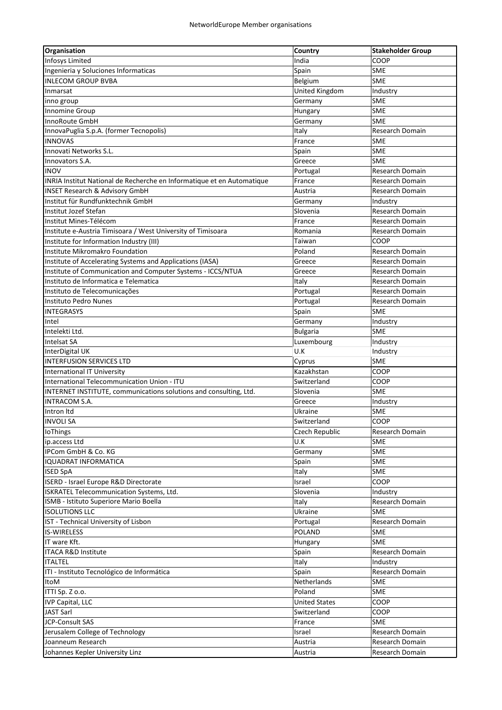| <b>Organisation</b>                                                               | Country               | <b>Stakeholder Group</b> |
|-----------------------------------------------------------------------------------|-----------------------|--------------------------|
| <b>Infosys Limited</b>                                                            | India                 | COOP                     |
| Ingenieria y Soluciones Informaticas                                              | Spain                 | <b>SME</b>               |
| <b>INLECOM GROUP BVBA</b>                                                         | Belgium               | <b>SME</b>               |
| Inmarsat                                                                          | <b>United Kingdom</b> | Industry                 |
| inno group                                                                        | Germany               | <b>SME</b>               |
| Innomine Group                                                                    | Hungary               | <b>SME</b>               |
| InnoRoute GmbH                                                                    | Germany               | <b>SME</b>               |
| InnovaPuglia S.p.A. (former Tecnopolis)                                           | Italy                 | Research Domain          |
| <b>INNOVAS</b>                                                                    | France                | <b>SME</b>               |
| Innovati Networks S.L.                                                            | Spain                 | <b>SME</b>               |
| Innovators S.A.                                                                   | Greece                | <b>SME</b>               |
| <b>INOV</b>                                                                       | Portugal              | Research Domain          |
| INRIA Institut National de Recherche en Informatique et en Automatique            | France                | Research Domain          |
| <b>INSET Research &amp; Advisory GmbH</b>                                         | Austria               | Research Domain          |
| Institut für Rundfunktechnik GmbH                                                 | Germany               | Industry                 |
| Institut Jozef Stefan                                                             | Slovenia              | Research Domain          |
| Institut Mines-Télécom                                                            | France                | <b>Research Domain</b>   |
| Institute e-Austria Timisoara / West University of Timisoara                      | Romania               | Research Domain          |
| Institute for Information Industry (III)                                          | Taiwan                | COOP                     |
| Institute Mikromakro Foundation                                                   | Poland                | Research Domain          |
| Institute of Accelerating Systems and Applications (IASA)                         | Greece                | <b>Research Domain</b>   |
| Institute of Communication and Computer Systems - ICCS/NTUA                       | Greece                | <b>Research Domain</b>   |
| Instituto de Informatica e Telematica                                             | Italy                 | <b>Research Domain</b>   |
| Instituto de Telecomunicações                                                     | Portugal              | <b>Research Domain</b>   |
| Instituto Pedro Nunes                                                             | Portugal              | Research Domain          |
| <b>INTEGRASYS</b>                                                                 | Spain                 | <b>SME</b>               |
|                                                                                   |                       |                          |
| Intel<br>Intelekti Ltd.                                                           | Germany               | Industry<br>SME          |
|                                                                                   | <b>Bulgaria</b>       |                          |
| Intelsat SA                                                                       | Luxembourg            | Industry                 |
| InterDigital UK                                                                   | U.K                   | Industry                 |
| <b>INTERFUSION SERVICES LTD</b>                                                   | Cyprus                | SME                      |
| <b>International IT University</b><br>International Telecommunication Union - ITU | Kazakhstan            | COOP                     |
|                                                                                   | Switzerland           | COOP                     |
| INTERNET INSTITUTE, communications solutions and consulting, Ltd.                 | Slovenia              | <b>SME</b>               |
| INTRACOM S.A.                                                                     | Greece                | Industry                 |
| Intron Itd                                                                        | Ukraine               | <b>SME</b>               |
| <b>INVOLI SA</b>                                                                  | Switzerland           | COOP                     |
| IoThings                                                                          | Czech Republic        | Research Domain          |
| ip.access Ltd                                                                     | U.K                   | <b>SME</b>               |
| IPCom GmbH & Co. KG                                                               | Germany               | SME                      |
| <b>IQUADRAT INFORMATICA</b>                                                       | Spain                 | <b>SME</b>               |
| <b>ISED SpA</b>                                                                   | Italy                 | SME                      |
| ISERD - Israel Europe R&D Directorate                                             | Israel                | COOP                     |
| ISKRATEL Telecommunication Systems, Ltd.                                          | Slovenia              | Industry                 |
| ISMB - Istituto Superiore Mario Boella                                            | Italy                 | Research Domain          |
| <b>ISOLUTIONS LLC</b>                                                             | Ukraine               | <b>SME</b>               |
| IST - Technical University of Lisbon                                              | Portugal              | Research Domain          |
| <b>IS-WIRELESS</b>                                                                | <b>POLAND</b>         | SME                      |
| IT ware Kft.                                                                      | Hungary               | SME                      |
| ITACA R&D Institute                                                               | Spain                 | Research Domain          |
| <b>ITALTEL</b>                                                                    | Italy                 | Industry                 |
| ITI - Instituto Tecnológico de Informática                                        | Spain                 | Research Domain          |
| ItoM                                                                              | Netherlands           | <b>SME</b>               |
| ITTI Sp. Z o.o.                                                                   | Poland                | <b>SME</b>               |
| <b>IVP Capital, LLC</b>                                                           | <b>United States</b>  | COOP                     |
| JAST Sarl                                                                         | Switzerland           | COOP                     |
| JCP-Consult SAS                                                                   | France                | <b>SME</b>               |
| Jerusalem College of Technology                                                   | Israel                | Research Domain          |
| Joanneum Research                                                                 | Austria               | Research Domain          |
| Johannes Kepler University Linz                                                   | Austria               | Research Domain          |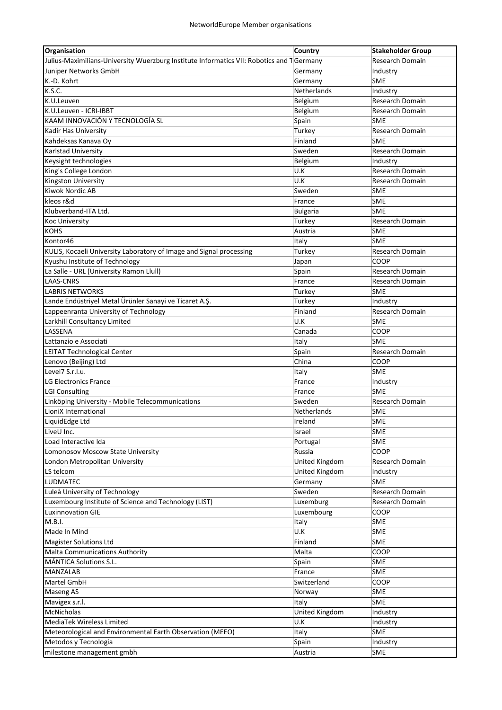| Organisation                                                                              | Country         | <b>Stakeholder Group</b> |
|-------------------------------------------------------------------------------------------|-----------------|--------------------------|
| Julius-Maximilians-University Wuerzburg Institute Informatics VII: Robotics and T Germany |                 | Research Domain          |
| Juniper Networks GmbH                                                                     | Germany         | Industry                 |
| K.-D. Kohrt                                                                               | Germany         | <b>SME</b>               |
| K.S.C.                                                                                    | Netherlands     | Industry                 |
| K.U.Leuven                                                                                | Belgium         | Research Domain          |
| K.U.Leuven - ICRI-IBBT                                                                    | Belgium         | Research Domain          |
| KAAM INNOVACIÓN Y TECNOLOGÍA SL                                                           | Spain           | <b>SME</b>               |
| <b>Kadir Has University</b>                                                               | Turkey          | Research Domain          |
| Kahdeksas Kanava Oy                                                                       | Finland         | <b>SME</b>               |
| Karlstad University                                                                       | Sweden          | <b>Research Domain</b>   |
| Keysight technologies                                                                     | Belgium         | Industry                 |
| King's College London                                                                     | U.K             | Research Domain          |
| Kingston University                                                                       | U.K             | Research Domain          |
| Kiwok Nordic AB                                                                           | Sweden          | SME                      |
| kleos r&d                                                                                 | France          | SME                      |
| Klubverband-ITA Ltd.                                                                      | <b>Bulgaria</b> | <b>SME</b>               |
| <b>Koc University</b>                                                                     | Turkey          | Research Domain          |
| <b>KOHS</b>                                                                               | Austria         | lsme                     |
| Kontor46                                                                                  | Italy           | <b>SME</b>               |
| KULIS, Kocaeli University Laboratory of Image and Signal processing                       | Turkey          | Research Domain          |
|                                                                                           |                 | COOP                     |
| Kyushu Institute of Technology                                                            | Japan           |                          |
| La Salle - URL (University Ramon Llull)<br><b>LAAS-CNRS</b>                               | Spain           | Research Domain          |
|                                                                                           | France          | Research Domain          |
| <b>LABRIS NETWORKS</b>                                                                    | Turkey          | <b>SME</b>               |
| Lande Endüstriyel Metal Ürünler Sanayi ve Ticaret A.Ş.                                    | Turkey          | Industry                 |
| Lappeenranta University of Technology                                                     | Finland         | Research Domain          |
| Larkhill Consultancy Limited                                                              | U.K             | SME                      |
| LASSENA                                                                                   | Canada          | COOP                     |
| Lattanzio e Associati                                                                     | Italy           | <b>SME</b>               |
| LEITAT Technological Center                                                               | Spain           | Research Domain          |
| Lenovo (Beijing) Ltd                                                                      | China           | COOP                     |
| Level7 S.r.l.u.                                                                           | Italy           | SME                      |
| LG Electronics France                                                                     | France          | Industry                 |
| <b>LGI Consulting</b>                                                                     | France          | <b>SME</b>               |
| Linköping University - Mobile Telecommunications                                          | Sweden          | <b>Research Domain</b>   |
| LioniX International                                                                      | Netherlands     | <b>SME</b>               |
| LiquidEdge Ltd                                                                            | Ireland         | <b>SME</b>               |
| LiveU Inc.                                                                                | Israel          | <b>SME</b>               |
| Load Interactive Ida                                                                      | Portugal        | SME                      |
| Lomonosov Moscow State University                                                         | Russia          | COOP                     |
| London Metropolitan University                                                            | United Kingdom  | Research Domain          |
| LS telcom                                                                                 | United Kingdom  | Industry                 |
| LUDMATEC                                                                                  | Germany         | <b>SME</b>               |
| Luleå University of Technology                                                            | Sweden          | Research Domain          |
| Luxembourg Institute of Science and Technology (LIST)                                     | Luxemburg       | Research Domain          |
| <b>Luxinnovation GIE</b>                                                                  | Luxembourg      | COOP                     |
| M.B.I.                                                                                    | Italy           | SME                      |
| Made In Mind                                                                              | U.K             | <b>SME</b>               |
| <b>Magister Solutions Ltd</b>                                                             | Finland         | <b>SME</b>               |
| Malta Communications Authority                                                            | Malta           | COOP                     |
| MÁNTICA Solutions S.L.                                                                    | Spain           | <b>SME</b>               |
| MANZALAB                                                                                  | France          | <b>SME</b>               |
| Martel GmbH                                                                               | Switzerland     | COOP                     |
| <b>Maseng AS</b>                                                                          | Norway          | <b>SME</b>               |
| Mavigex s.r.l.                                                                            | Italy           | <b>SME</b>               |
| McNicholas                                                                                | United Kingdom  | Industry                 |
| MediaTek Wireless Limited                                                                 | U.K             | Industry                 |
| Meteorological and Environmental Earth Observation (MEEO)                                 | Italy           | <b>SME</b>               |
| Metodos y Tecnologia                                                                      | Spain           | Industry                 |
| milestone management gmbh                                                                 | Austria         | <b>SME</b>               |
|                                                                                           |                 |                          |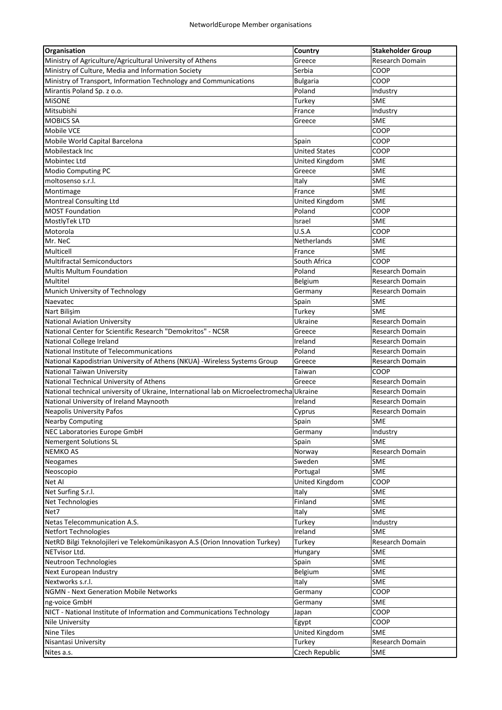| <b>Organisation</b>                                                                      | Country               | <b>Stakeholder Group</b> |
|------------------------------------------------------------------------------------------|-----------------------|--------------------------|
| Ministry of Agriculture/Agricultural University of Athens                                | Greece                | Research Domain          |
| Ministry of Culture, Media and Information Society                                       | Serbia                | COOP                     |
| Ministry of Transport, Information Technology and Communications                         | <b>Bulgaria</b>       | COOP                     |
| Mirantis Poland Sp. z o.o.                                                               | Poland                | Industry                 |
| <b>MISONE</b>                                                                            | Turkey                | <b>SME</b>               |
| Mitsubishi                                                                               | France                | Industry                 |
| <b>MOBICS SA</b>                                                                         | Greece                | <b>SME</b>               |
| <b>Mobile VCE</b>                                                                        |                       | COOP                     |
| Mobile World Capital Barcelona                                                           | Spain                 | COOP                     |
| Mobilestack Inc                                                                          | <b>United States</b>  | COOP                     |
| Mobintec Ltd                                                                             | United Kingdom        | <b>SME</b>               |
| Modio Computing PC                                                                       | Greece                | <b>SME</b>               |
| moltosenso s.r.l.                                                                        | Italy                 | SME                      |
| Montimage                                                                                | France                | SME                      |
| <b>Montreal Consulting Ltd</b>                                                           | <b>United Kingdom</b> | SME                      |
| <b>MOST Foundation</b>                                                                   | Poland                | COOP                     |
| MostlyTek LTD                                                                            | Israel                | <b>SME</b>               |
| Motorola                                                                                 | U.S.A                 | COOP                     |
| Mr. NeC                                                                                  | Netherlands           | SME                      |
| Multicell                                                                                | France                | SME                      |
|                                                                                          |                       |                          |
| <b>Multifractal Semiconductors</b>                                                       | South Africa          | COOP                     |
| <b>Multis Multum Foundation</b>                                                          | Poland                | Research Domain          |
| Multitel                                                                                 | Belgium               | Research Domain          |
| Munich University of Technology                                                          | Germany               | Research Domain          |
| Naevatec                                                                                 | Spain                 | <b>SME</b>               |
| Nart Bilişim                                                                             | Turkey                | <b>SME</b>               |
| <b>National Aviation University</b>                                                      | Ukraine               | Research Domain          |
| National Center for Scientific Research "Demokritos" - NCSR                              | Greece                | Research Domain          |
| National College Ireland                                                                 | Ireland               | Research Domain          |
| National Institute of Telecommunications                                                 | Poland                | <b>Research Domain</b>   |
| National Kapodistrian University of Athens (NKUA) - Wireless Systems Group               | Greece                | Research Domain          |
| National Taiwan University                                                               | Taiwan                | COOP                     |
| National Technical University of Athens                                                  | Greece                | Research Domain          |
| National technical university of Ukraine, International lab on Microelectromecha Ukraine |                       | <b>Research Domain</b>   |
| National University of Ireland Maynooth                                                  | Ireland               | Research Domain          |
| <b>Neapolis University Pafos</b>                                                         | Cyprus                | Research Domain          |
| Nearby Computing                                                                         | Spain                 | SME                      |
| NEC Laboratories Europe GmbH                                                             | Germany               | Industry                 |
| <b>Nemergent Solutions SL</b>                                                            | Spain                 | <b>SME</b>               |
| <b>NEMKO AS</b>                                                                          | Norway                | Research Domain          |
| Neogames                                                                                 | Sweden                | <b>SME</b>               |
| Neoscopio                                                                                | Portugal              | <b>SME</b>               |
| Net Al                                                                                   | United Kingdom        | COOP                     |
| Net Surfing S.r.l.                                                                       | Italy                 | <b>SME</b>               |
| Net Technologies                                                                         | Finland               | <b>SME</b>               |
| Net7                                                                                     | Italy                 | <b>SME</b>               |
| Netas Telecommunication A.S.                                                             | Turkey                | Industry                 |
| <b>Netfort Technologies</b>                                                              | Ireland               | <b>SME</b>               |
| NetRD Bilgi Teknolojileri ve Telekomünikasyon A.S (Orion Innovation Turkey)              | Turkey                | Research Domain          |
| NETvisor Ltd.                                                                            | Hungary               | SME                      |
| Neutroon Technologies                                                                    | Spain                 | <b>SME</b>               |
| Next European Industry                                                                   | Belgium               | <b>SME</b>               |
| Nextworks s.r.l.                                                                         | Italy                 | <b>SME</b>               |
| <b>NGMN - Next Generation Mobile Networks</b>                                            | Germany               | COOP                     |
| ng-voice GmbH                                                                            | Germany               | <b>SME</b>               |
| NICT - National Institute of Information and Communications Technology                   |                       | COOP                     |
|                                                                                          | Japan                 |                          |
| Nile University                                                                          | Egypt                 | COOP                     |
| Nine Tiles                                                                               | United Kingdom        | <b>SME</b>               |
| Nisantasi University                                                                     | Turkey                | Research Domain          |
| Nites a.s.                                                                               | Czech Republic        | <b>SME</b>               |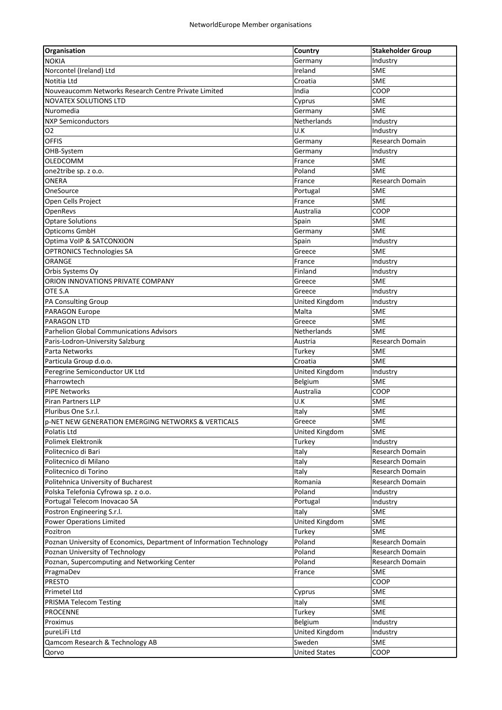| Organisation                                                         | Country                 | <b>Stakeholder Group</b> |
|----------------------------------------------------------------------|-------------------------|--------------------------|
| <b>NOKIA</b>                                                         | Germany                 | Industry                 |
| Norcontel (Ireland) Ltd                                              | Ireland                 | SME                      |
| Notitia Ltd                                                          | Croatia                 | <b>SME</b>               |
| Nouveaucomm Networks Research Centre Private Limited                 | India                   | COOP                     |
| <b>NOVATEX SOLUTIONS LTD</b>                                         | Cyprus                  | <b>SME</b>               |
| Nuromedia                                                            | Germany                 | <b>SME</b>               |
| <b>NXP Semiconductors</b>                                            | Netherlands             | Industry                 |
| 02                                                                   | U.K                     | Industry                 |
| <b>OFFIS</b>                                                         | Germany                 | Research Domain          |
| OHB-System                                                           | Germany                 | Industry                 |
| <b>OLEDCOMM</b>                                                      | France                  | SME                      |
| one2tribe sp. z o.o.                                                 | Poland                  | SME                      |
| ONERA                                                                | France                  | Research Domain          |
| OneSource                                                            | Portugal                | <b>SME</b>               |
| Open Cells Project                                                   | France                  | <b>SME</b>               |
| OpenRevs                                                             | Australia               | COOP                     |
| <b>Optare Solutions</b>                                              | Spain                   | <b>SME</b>               |
| Opticoms GmbH                                                        | Germany                 | <b>SME</b>               |
| Optima VoIP & SATCONXION                                             | Spain                   | Industry                 |
| <b>OPTRONICS Technologies SA</b>                                     | Greece                  | <b>SME</b>               |
| ORANGE                                                               | France                  | Industry                 |
| Orbis Systems Oy                                                     | Finland                 | Industry                 |
| ORION INNOVATIONS PRIVATE COMPANY                                    | Greece                  | SME                      |
| OTE S.A                                                              | Greece                  | Industry                 |
| PA Consulting Group                                                  | <b>United Kingdom</b>   | Industry                 |
| PARAGON Europe                                                       | Malta                   | <b>SME</b>               |
| <b>PARAGON LTD</b>                                                   | Greece                  | SME                      |
| <b>Parhelion Global Communications Advisors</b>                      | Netherlands             | <b>SME</b>               |
| Paris-Lodron-University Salzburg                                     | Austria                 | Research Domain          |
| Parta Networks                                                       | Turkey                  | <b>SME</b>               |
| Particula Group d.o.o.                                               | Croatia                 | SME                      |
| Peregrine Semiconductor UK Ltd                                       | United Kingdom          | Industry                 |
| Pharrowtech                                                          | Belgium                 | SME                      |
| <b>PIPE Networks</b>                                                 | Australia               | COOP                     |
| <b>Piran Partners LLP</b>                                            | U.K                     | SME                      |
| Pluribus One S.r.l.                                                  | Italy                   | <b>SME</b>               |
| p-NET NEW GENERATION EMERGING NETWORKS & VERTICALS                   | Greece                  | <b>SME</b>               |
| Polatis Ltd                                                          | United Kingdom          | SME                      |
| Polimek Elektronik                                                   | Turkey                  | Industry                 |
| Politecnico di Bari                                                  | Italy                   | Research Domain          |
| Politecnico di Milano                                                | Italy                   | Research Domain          |
| Politecnico di Torino                                                | Italy                   | Research Domain          |
| Politehnica University of Bucharest                                  | Romania                 | Research Domain          |
| Polska Telefonia Cyfrowa sp. z o.o.                                  | Poland                  | Industry                 |
| Portugal Telecom Inovacao SA                                         | Portugal                |                          |
| Postron Engineering S.r.l.                                           |                         | Industry<br>SME          |
| <b>Power Operations Limited</b>                                      | Italy<br>United Kingdom | SME                      |
|                                                                      |                         |                          |
| Pozitron                                                             | Turkey                  | SME                      |
| Poznan University of Economics, Department of Information Technology | Poland                  | Research Domain          |
| Poznan University of Technology                                      | Poland                  | Research Domain          |
| Poznan, Supercomputing and Networking Center                         | Poland                  | Research Domain          |
| PragmaDev                                                            | France                  | SME                      |
| PRESTO                                                               |                         | COOP                     |
| Primetel Ltd                                                         | Cyprus                  | <b>SME</b>               |
| PRISMA Telecom Testing                                               | Italy                   | SME                      |
| <b>PROCENNE</b>                                                      | Turkey                  | SME                      |
| Proximus                                                             | Belgium                 | Industry                 |
| pureLiFi Ltd                                                         | United Kingdom          | Industry                 |
| Qamcom Research & Technology AB                                      | Sweden                  | SME                      |
| Qorvo                                                                | <b>United States</b>    | COOP                     |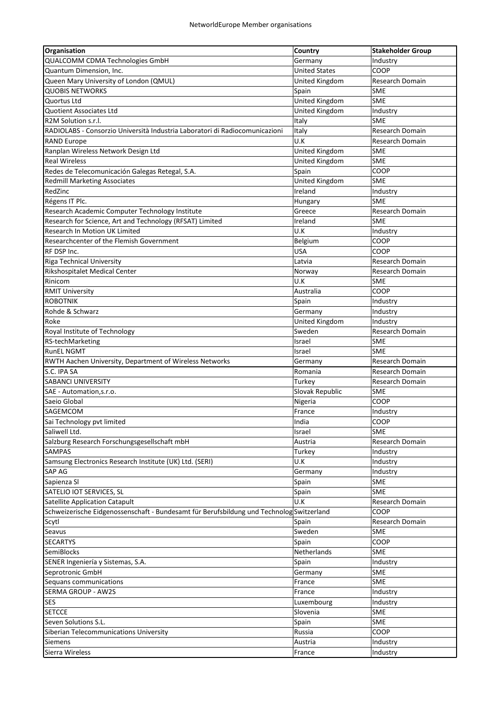| QUALCOMM CDMA Technologies GmbH<br>Germany<br>Industry<br>Quantum Dimension, Inc.<br><b>United States</b><br>COOP<br>Queen Mary University of London (QMUL)<br>Research Domain<br>United Kingdom<br><b>QUOBIS NETWORKS</b><br>Spain<br>SME<br>United Kingdom<br>Quortus Ltd<br><b>SME</b><br>United Kingdom<br>Quotient Associates Ltd<br>Industry<br>R2M Solution s.r.l.<br><b>SME</b><br>Italy<br>Italy<br>Research Domain<br>RADIOLABS - Consorzio Università Industria Laboratori di Radiocomunicazioni<br>U.K<br><b>RAND Europe</b><br>Research Domain<br>Ranplan Wireless Network Design Ltd<br><b>United Kingdom</b><br>SME<br>United Kingdom<br><b>SME</b><br><b>Real Wireless</b><br>Redes de Telecomunicación Galegas Retegal, S.A.<br>Spain<br>COOP<br>United Kingdom<br><b>SME</b><br><b>Redmill Marketing Associates</b><br>RedZinc<br>Ireland<br>Industry<br>SME<br>Régens IT Plc.<br>Hungary<br>Research Academic Computer Technology Institute<br>Greece<br>Research Domain<br>Research for Science, Art and Technology (RFSAT) Limited<br><b>SME</b><br>Ireland<br>Research In Motion UK Limited<br>U.K<br>Industry<br>Researchcenter of the Flemish Government<br>COOP<br>Belgium<br><b>USA</b><br>RF DSP Inc.<br>COOP<br>Riga Technical University<br>Latvia<br>Research Domain<br>Rikshospitalet Medical Center<br><b>Research Domain</b><br>Norway<br>Rinicom<br>U.K<br><b>SME</b><br>COOP<br><b>RMIT University</b><br>Australia<br><b>ROBOTNIK</b><br>Spain<br>Industry<br>Rohde & Schwarz<br>Germany<br>Industry<br>Roke<br>United Kingdom<br>Industry<br>Royal Institute of Technology<br>Sweden<br>Research Domain<br>RS-techMarketing<br><b>SME</b><br>Israel<br><b>RunEL NGMT</b><br><b>SME</b><br>Israel<br>RWTH Aachen University, Department of Wireless Networks<br>Research Domain<br>Germany<br>S.C. IPA SA<br>Romania<br>Research Domain<br>SABANCI UNIVERSITY<br>Turkey<br>Research Domain<br>Slovak Republic<br><b>SME</b><br>SAE - Automation, s.r.o.<br>Saeio Global<br>COOP<br>Nigeria<br>SAGEMCOM<br>France<br>Industry<br>Sai Technology pvt limited<br>COOP<br>India<br>Saliwell Ltd.<br><b>SME</b><br>Israel<br>Salzburg Research Forschungsgesellschaft mbH<br>Austria<br>Research Domain<br><b>SAMPAS</b><br>Turkey<br>Industry<br>Samsung Electronics Research Institute (UK) Ltd. (SERI)<br>U.K<br>Industry<br>SAP AG<br>Germany<br>Industry<br>Sapienza SI<br>Spain<br>SME<br>SATELIO IOT SERVICES, SL<br><b>SME</b><br>Spain<br><b>Satellite Application Catapult</b><br>U.K<br>Research Domain<br>Schweizerische Eidgenossenschaft - Bundesamt für Berufsbildung und Technolog Switzerland<br>COOP<br>Research Domain<br>Scytl<br>Spain<br>Sweden<br>Seavus<br><b>SME</b><br><b>SECARTYS</b><br>COOP<br>Spain<br>SemiBlocks<br>Netherlands<br><b>SME</b> |
|-------------------------------------------------------------------------------------------------------------------------------------------------------------------------------------------------------------------------------------------------------------------------------------------------------------------------------------------------------------------------------------------------------------------------------------------------------------------------------------------------------------------------------------------------------------------------------------------------------------------------------------------------------------------------------------------------------------------------------------------------------------------------------------------------------------------------------------------------------------------------------------------------------------------------------------------------------------------------------------------------------------------------------------------------------------------------------------------------------------------------------------------------------------------------------------------------------------------------------------------------------------------------------------------------------------------------------------------------------------------------------------------------------------------------------------------------------------------------------------------------------------------------------------------------------------------------------------------------------------------------------------------------------------------------------------------------------------------------------------------------------------------------------------------------------------------------------------------------------------------------------------------------------------------------------------------------------------------------------------------------------------------------------------------------------------------------------------------------------------------------------------------------------------------------------------------------------------------------------------------------------------------------------------------------------------------------------------------------------------------------------------------------------------------------------------------------------------------------------------------------------------------------------------------------------------------------------------------------------------------------------------------------------------------------------------------------------------------------------------------------------------------------------------------------------------|
|                                                                                                                                                                                                                                                                                                                                                                                                                                                                                                                                                                                                                                                                                                                                                                                                                                                                                                                                                                                                                                                                                                                                                                                                                                                                                                                                                                                                                                                                                                                                                                                                                                                                                                                                                                                                                                                                                                                                                                                                                                                                                                                                                                                                                                                                                                                                                                                                                                                                                                                                                                                                                                                                                                                                                                                                             |
|                                                                                                                                                                                                                                                                                                                                                                                                                                                                                                                                                                                                                                                                                                                                                                                                                                                                                                                                                                                                                                                                                                                                                                                                                                                                                                                                                                                                                                                                                                                                                                                                                                                                                                                                                                                                                                                                                                                                                                                                                                                                                                                                                                                                                                                                                                                                                                                                                                                                                                                                                                                                                                                                                                                                                                                                             |
|                                                                                                                                                                                                                                                                                                                                                                                                                                                                                                                                                                                                                                                                                                                                                                                                                                                                                                                                                                                                                                                                                                                                                                                                                                                                                                                                                                                                                                                                                                                                                                                                                                                                                                                                                                                                                                                                                                                                                                                                                                                                                                                                                                                                                                                                                                                                                                                                                                                                                                                                                                                                                                                                                                                                                                                                             |
|                                                                                                                                                                                                                                                                                                                                                                                                                                                                                                                                                                                                                                                                                                                                                                                                                                                                                                                                                                                                                                                                                                                                                                                                                                                                                                                                                                                                                                                                                                                                                                                                                                                                                                                                                                                                                                                                                                                                                                                                                                                                                                                                                                                                                                                                                                                                                                                                                                                                                                                                                                                                                                                                                                                                                                                                             |
|                                                                                                                                                                                                                                                                                                                                                                                                                                                                                                                                                                                                                                                                                                                                                                                                                                                                                                                                                                                                                                                                                                                                                                                                                                                                                                                                                                                                                                                                                                                                                                                                                                                                                                                                                                                                                                                                                                                                                                                                                                                                                                                                                                                                                                                                                                                                                                                                                                                                                                                                                                                                                                                                                                                                                                                                             |
|                                                                                                                                                                                                                                                                                                                                                                                                                                                                                                                                                                                                                                                                                                                                                                                                                                                                                                                                                                                                                                                                                                                                                                                                                                                                                                                                                                                                                                                                                                                                                                                                                                                                                                                                                                                                                                                                                                                                                                                                                                                                                                                                                                                                                                                                                                                                                                                                                                                                                                                                                                                                                                                                                                                                                                                                             |
|                                                                                                                                                                                                                                                                                                                                                                                                                                                                                                                                                                                                                                                                                                                                                                                                                                                                                                                                                                                                                                                                                                                                                                                                                                                                                                                                                                                                                                                                                                                                                                                                                                                                                                                                                                                                                                                                                                                                                                                                                                                                                                                                                                                                                                                                                                                                                                                                                                                                                                                                                                                                                                                                                                                                                                                                             |
|                                                                                                                                                                                                                                                                                                                                                                                                                                                                                                                                                                                                                                                                                                                                                                                                                                                                                                                                                                                                                                                                                                                                                                                                                                                                                                                                                                                                                                                                                                                                                                                                                                                                                                                                                                                                                                                                                                                                                                                                                                                                                                                                                                                                                                                                                                                                                                                                                                                                                                                                                                                                                                                                                                                                                                                                             |
|                                                                                                                                                                                                                                                                                                                                                                                                                                                                                                                                                                                                                                                                                                                                                                                                                                                                                                                                                                                                                                                                                                                                                                                                                                                                                                                                                                                                                                                                                                                                                                                                                                                                                                                                                                                                                                                                                                                                                                                                                                                                                                                                                                                                                                                                                                                                                                                                                                                                                                                                                                                                                                                                                                                                                                                                             |
|                                                                                                                                                                                                                                                                                                                                                                                                                                                                                                                                                                                                                                                                                                                                                                                                                                                                                                                                                                                                                                                                                                                                                                                                                                                                                                                                                                                                                                                                                                                                                                                                                                                                                                                                                                                                                                                                                                                                                                                                                                                                                                                                                                                                                                                                                                                                                                                                                                                                                                                                                                                                                                                                                                                                                                                                             |
|                                                                                                                                                                                                                                                                                                                                                                                                                                                                                                                                                                                                                                                                                                                                                                                                                                                                                                                                                                                                                                                                                                                                                                                                                                                                                                                                                                                                                                                                                                                                                                                                                                                                                                                                                                                                                                                                                                                                                                                                                                                                                                                                                                                                                                                                                                                                                                                                                                                                                                                                                                                                                                                                                                                                                                                                             |
|                                                                                                                                                                                                                                                                                                                                                                                                                                                                                                                                                                                                                                                                                                                                                                                                                                                                                                                                                                                                                                                                                                                                                                                                                                                                                                                                                                                                                                                                                                                                                                                                                                                                                                                                                                                                                                                                                                                                                                                                                                                                                                                                                                                                                                                                                                                                                                                                                                                                                                                                                                                                                                                                                                                                                                                                             |
|                                                                                                                                                                                                                                                                                                                                                                                                                                                                                                                                                                                                                                                                                                                                                                                                                                                                                                                                                                                                                                                                                                                                                                                                                                                                                                                                                                                                                                                                                                                                                                                                                                                                                                                                                                                                                                                                                                                                                                                                                                                                                                                                                                                                                                                                                                                                                                                                                                                                                                                                                                                                                                                                                                                                                                                                             |
|                                                                                                                                                                                                                                                                                                                                                                                                                                                                                                                                                                                                                                                                                                                                                                                                                                                                                                                                                                                                                                                                                                                                                                                                                                                                                                                                                                                                                                                                                                                                                                                                                                                                                                                                                                                                                                                                                                                                                                                                                                                                                                                                                                                                                                                                                                                                                                                                                                                                                                                                                                                                                                                                                                                                                                                                             |
|                                                                                                                                                                                                                                                                                                                                                                                                                                                                                                                                                                                                                                                                                                                                                                                                                                                                                                                                                                                                                                                                                                                                                                                                                                                                                                                                                                                                                                                                                                                                                                                                                                                                                                                                                                                                                                                                                                                                                                                                                                                                                                                                                                                                                                                                                                                                                                                                                                                                                                                                                                                                                                                                                                                                                                                                             |
|                                                                                                                                                                                                                                                                                                                                                                                                                                                                                                                                                                                                                                                                                                                                                                                                                                                                                                                                                                                                                                                                                                                                                                                                                                                                                                                                                                                                                                                                                                                                                                                                                                                                                                                                                                                                                                                                                                                                                                                                                                                                                                                                                                                                                                                                                                                                                                                                                                                                                                                                                                                                                                                                                                                                                                                                             |
|                                                                                                                                                                                                                                                                                                                                                                                                                                                                                                                                                                                                                                                                                                                                                                                                                                                                                                                                                                                                                                                                                                                                                                                                                                                                                                                                                                                                                                                                                                                                                                                                                                                                                                                                                                                                                                                                                                                                                                                                                                                                                                                                                                                                                                                                                                                                                                                                                                                                                                                                                                                                                                                                                                                                                                                                             |
|                                                                                                                                                                                                                                                                                                                                                                                                                                                                                                                                                                                                                                                                                                                                                                                                                                                                                                                                                                                                                                                                                                                                                                                                                                                                                                                                                                                                                                                                                                                                                                                                                                                                                                                                                                                                                                                                                                                                                                                                                                                                                                                                                                                                                                                                                                                                                                                                                                                                                                                                                                                                                                                                                                                                                                                                             |
|                                                                                                                                                                                                                                                                                                                                                                                                                                                                                                                                                                                                                                                                                                                                                                                                                                                                                                                                                                                                                                                                                                                                                                                                                                                                                                                                                                                                                                                                                                                                                                                                                                                                                                                                                                                                                                                                                                                                                                                                                                                                                                                                                                                                                                                                                                                                                                                                                                                                                                                                                                                                                                                                                                                                                                                                             |
|                                                                                                                                                                                                                                                                                                                                                                                                                                                                                                                                                                                                                                                                                                                                                                                                                                                                                                                                                                                                                                                                                                                                                                                                                                                                                                                                                                                                                                                                                                                                                                                                                                                                                                                                                                                                                                                                                                                                                                                                                                                                                                                                                                                                                                                                                                                                                                                                                                                                                                                                                                                                                                                                                                                                                                                                             |
|                                                                                                                                                                                                                                                                                                                                                                                                                                                                                                                                                                                                                                                                                                                                                                                                                                                                                                                                                                                                                                                                                                                                                                                                                                                                                                                                                                                                                                                                                                                                                                                                                                                                                                                                                                                                                                                                                                                                                                                                                                                                                                                                                                                                                                                                                                                                                                                                                                                                                                                                                                                                                                                                                                                                                                                                             |
|                                                                                                                                                                                                                                                                                                                                                                                                                                                                                                                                                                                                                                                                                                                                                                                                                                                                                                                                                                                                                                                                                                                                                                                                                                                                                                                                                                                                                                                                                                                                                                                                                                                                                                                                                                                                                                                                                                                                                                                                                                                                                                                                                                                                                                                                                                                                                                                                                                                                                                                                                                                                                                                                                                                                                                                                             |
|                                                                                                                                                                                                                                                                                                                                                                                                                                                                                                                                                                                                                                                                                                                                                                                                                                                                                                                                                                                                                                                                                                                                                                                                                                                                                                                                                                                                                                                                                                                                                                                                                                                                                                                                                                                                                                                                                                                                                                                                                                                                                                                                                                                                                                                                                                                                                                                                                                                                                                                                                                                                                                                                                                                                                                                                             |
|                                                                                                                                                                                                                                                                                                                                                                                                                                                                                                                                                                                                                                                                                                                                                                                                                                                                                                                                                                                                                                                                                                                                                                                                                                                                                                                                                                                                                                                                                                                                                                                                                                                                                                                                                                                                                                                                                                                                                                                                                                                                                                                                                                                                                                                                                                                                                                                                                                                                                                                                                                                                                                                                                                                                                                                                             |
|                                                                                                                                                                                                                                                                                                                                                                                                                                                                                                                                                                                                                                                                                                                                                                                                                                                                                                                                                                                                                                                                                                                                                                                                                                                                                                                                                                                                                                                                                                                                                                                                                                                                                                                                                                                                                                                                                                                                                                                                                                                                                                                                                                                                                                                                                                                                                                                                                                                                                                                                                                                                                                                                                                                                                                                                             |
|                                                                                                                                                                                                                                                                                                                                                                                                                                                                                                                                                                                                                                                                                                                                                                                                                                                                                                                                                                                                                                                                                                                                                                                                                                                                                                                                                                                                                                                                                                                                                                                                                                                                                                                                                                                                                                                                                                                                                                                                                                                                                                                                                                                                                                                                                                                                                                                                                                                                                                                                                                                                                                                                                                                                                                                                             |
|                                                                                                                                                                                                                                                                                                                                                                                                                                                                                                                                                                                                                                                                                                                                                                                                                                                                                                                                                                                                                                                                                                                                                                                                                                                                                                                                                                                                                                                                                                                                                                                                                                                                                                                                                                                                                                                                                                                                                                                                                                                                                                                                                                                                                                                                                                                                                                                                                                                                                                                                                                                                                                                                                                                                                                                                             |
|                                                                                                                                                                                                                                                                                                                                                                                                                                                                                                                                                                                                                                                                                                                                                                                                                                                                                                                                                                                                                                                                                                                                                                                                                                                                                                                                                                                                                                                                                                                                                                                                                                                                                                                                                                                                                                                                                                                                                                                                                                                                                                                                                                                                                                                                                                                                                                                                                                                                                                                                                                                                                                                                                                                                                                                                             |
|                                                                                                                                                                                                                                                                                                                                                                                                                                                                                                                                                                                                                                                                                                                                                                                                                                                                                                                                                                                                                                                                                                                                                                                                                                                                                                                                                                                                                                                                                                                                                                                                                                                                                                                                                                                                                                                                                                                                                                                                                                                                                                                                                                                                                                                                                                                                                                                                                                                                                                                                                                                                                                                                                                                                                                                                             |
|                                                                                                                                                                                                                                                                                                                                                                                                                                                                                                                                                                                                                                                                                                                                                                                                                                                                                                                                                                                                                                                                                                                                                                                                                                                                                                                                                                                                                                                                                                                                                                                                                                                                                                                                                                                                                                                                                                                                                                                                                                                                                                                                                                                                                                                                                                                                                                                                                                                                                                                                                                                                                                                                                                                                                                                                             |
|                                                                                                                                                                                                                                                                                                                                                                                                                                                                                                                                                                                                                                                                                                                                                                                                                                                                                                                                                                                                                                                                                                                                                                                                                                                                                                                                                                                                                                                                                                                                                                                                                                                                                                                                                                                                                                                                                                                                                                                                                                                                                                                                                                                                                                                                                                                                                                                                                                                                                                                                                                                                                                                                                                                                                                                                             |
|                                                                                                                                                                                                                                                                                                                                                                                                                                                                                                                                                                                                                                                                                                                                                                                                                                                                                                                                                                                                                                                                                                                                                                                                                                                                                                                                                                                                                                                                                                                                                                                                                                                                                                                                                                                                                                                                                                                                                                                                                                                                                                                                                                                                                                                                                                                                                                                                                                                                                                                                                                                                                                                                                                                                                                                                             |
|                                                                                                                                                                                                                                                                                                                                                                                                                                                                                                                                                                                                                                                                                                                                                                                                                                                                                                                                                                                                                                                                                                                                                                                                                                                                                                                                                                                                                                                                                                                                                                                                                                                                                                                                                                                                                                                                                                                                                                                                                                                                                                                                                                                                                                                                                                                                                                                                                                                                                                                                                                                                                                                                                                                                                                                                             |
|                                                                                                                                                                                                                                                                                                                                                                                                                                                                                                                                                                                                                                                                                                                                                                                                                                                                                                                                                                                                                                                                                                                                                                                                                                                                                                                                                                                                                                                                                                                                                                                                                                                                                                                                                                                                                                                                                                                                                                                                                                                                                                                                                                                                                                                                                                                                                                                                                                                                                                                                                                                                                                                                                                                                                                                                             |
|                                                                                                                                                                                                                                                                                                                                                                                                                                                                                                                                                                                                                                                                                                                                                                                                                                                                                                                                                                                                                                                                                                                                                                                                                                                                                                                                                                                                                                                                                                                                                                                                                                                                                                                                                                                                                                                                                                                                                                                                                                                                                                                                                                                                                                                                                                                                                                                                                                                                                                                                                                                                                                                                                                                                                                                                             |
|                                                                                                                                                                                                                                                                                                                                                                                                                                                                                                                                                                                                                                                                                                                                                                                                                                                                                                                                                                                                                                                                                                                                                                                                                                                                                                                                                                                                                                                                                                                                                                                                                                                                                                                                                                                                                                                                                                                                                                                                                                                                                                                                                                                                                                                                                                                                                                                                                                                                                                                                                                                                                                                                                                                                                                                                             |
|                                                                                                                                                                                                                                                                                                                                                                                                                                                                                                                                                                                                                                                                                                                                                                                                                                                                                                                                                                                                                                                                                                                                                                                                                                                                                                                                                                                                                                                                                                                                                                                                                                                                                                                                                                                                                                                                                                                                                                                                                                                                                                                                                                                                                                                                                                                                                                                                                                                                                                                                                                                                                                                                                                                                                                                                             |
|                                                                                                                                                                                                                                                                                                                                                                                                                                                                                                                                                                                                                                                                                                                                                                                                                                                                                                                                                                                                                                                                                                                                                                                                                                                                                                                                                                                                                                                                                                                                                                                                                                                                                                                                                                                                                                                                                                                                                                                                                                                                                                                                                                                                                                                                                                                                                                                                                                                                                                                                                                                                                                                                                                                                                                                                             |
|                                                                                                                                                                                                                                                                                                                                                                                                                                                                                                                                                                                                                                                                                                                                                                                                                                                                                                                                                                                                                                                                                                                                                                                                                                                                                                                                                                                                                                                                                                                                                                                                                                                                                                                                                                                                                                                                                                                                                                                                                                                                                                                                                                                                                                                                                                                                                                                                                                                                                                                                                                                                                                                                                                                                                                                                             |
|                                                                                                                                                                                                                                                                                                                                                                                                                                                                                                                                                                                                                                                                                                                                                                                                                                                                                                                                                                                                                                                                                                                                                                                                                                                                                                                                                                                                                                                                                                                                                                                                                                                                                                                                                                                                                                                                                                                                                                                                                                                                                                                                                                                                                                                                                                                                                                                                                                                                                                                                                                                                                                                                                                                                                                                                             |
|                                                                                                                                                                                                                                                                                                                                                                                                                                                                                                                                                                                                                                                                                                                                                                                                                                                                                                                                                                                                                                                                                                                                                                                                                                                                                                                                                                                                                                                                                                                                                                                                                                                                                                                                                                                                                                                                                                                                                                                                                                                                                                                                                                                                                                                                                                                                                                                                                                                                                                                                                                                                                                                                                                                                                                                                             |
|                                                                                                                                                                                                                                                                                                                                                                                                                                                                                                                                                                                                                                                                                                                                                                                                                                                                                                                                                                                                                                                                                                                                                                                                                                                                                                                                                                                                                                                                                                                                                                                                                                                                                                                                                                                                                                                                                                                                                                                                                                                                                                                                                                                                                                                                                                                                                                                                                                                                                                                                                                                                                                                                                                                                                                                                             |
|                                                                                                                                                                                                                                                                                                                                                                                                                                                                                                                                                                                                                                                                                                                                                                                                                                                                                                                                                                                                                                                                                                                                                                                                                                                                                                                                                                                                                                                                                                                                                                                                                                                                                                                                                                                                                                                                                                                                                                                                                                                                                                                                                                                                                                                                                                                                                                                                                                                                                                                                                                                                                                                                                                                                                                                                             |
|                                                                                                                                                                                                                                                                                                                                                                                                                                                                                                                                                                                                                                                                                                                                                                                                                                                                                                                                                                                                                                                                                                                                                                                                                                                                                                                                                                                                                                                                                                                                                                                                                                                                                                                                                                                                                                                                                                                                                                                                                                                                                                                                                                                                                                                                                                                                                                                                                                                                                                                                                                                                                                                                                                                                                                                                             |
|                                                                                                                                                                                                                                                                                                                                                                                                                                                                                                                                                                                                                                                                                                                                                                                                                                                                                                                                                                                                                                                                                                                                                                                                                                                                                                                                                                                                                                                                                                                                                                                                                                                                                                                                                                                                                                                                                                                                                                                                                                                                                                                                                                                                                                                                                                                                                                                                                                                                                                                                                                                                                                                                                                                                                                                                             |
|                                                                                                                                                                                                                                                                                                                                                                                                                                                                                                                                                                                                                                                                                                                                                                                                                                                                                                                                                                                                                                                                                                                                                                                                                                                                                                                                                                                                                                                                                                                                                                                                                                                                                                                                                                                                                                                                                                                                                                                                                                                                                                                                                                                                                                                                                                                                                                                                                                                                                                                                                                                                                                                                                                                                                                                                             |
|                                                                                                                                                                                                                                                                                                                                                                                                                                                                                                                                                                                                                                                                                                                                                                                                                                                                                                                                                                                                                                                                                                                                                                                                                                                                                                                                                                                                                                                                                                                                                                                                                                                                                                                                                                                                                                                                                                                                                                                                                                                                                                                                                                                                                                                                                                                                                                                                                                                                                                                                                                                                                                                                                                                                                                                                             |
|                                                                                                                                                                                                                                                                                                                                                                                                                                                                                                                                                                                                                                                                                                                                                                                                                                                                                                                                                                                                                                                                                                                                                                                                                                                                                                                                                                                                                                                                                                                                                                                                                                                                                                                                                                                                                                                                                                                                                                                                                                                                                                                                                                                                                                                                                                                                                                                                                                                                                                                                                                                                                                                                                                                                                                                                             |
|                                                                                                                                                                                                                                                                                                                                                                                                                                                                                                                                                                                                                                                                                                                                                                                                                                                                                                                                                                                                                                                                                                                                                                                                                                                                                                                                                                                                                                                                                                                                                                                                                                                                                                                                                                                                                                                                                                                                                                                                                                                                                                                                                                                                                                                                                                                                                                                                                                                                                                                                                                                                                                                                                                                                                                                                             |
|                                                                                                                                                                                                                                                                                                                                                                                                                                                                                                                                                                                                                                                                                                                                                                                                                                                                                                                                                                                                                                                                                                                                                                                                                                                                                                                                                                                                                                                                                                                                                                                                                                                                                                                                                                                                                                                                                                                                                                                                                                                                                                                                                                                                                                                                                                                                                                                                                                                                                                                                                                                                                                                                                                                                                                                                             |
| SENER Ingeniería y Sistemas, S.A.<br>Spain<br>Industry                                                                                                                                                                                                                                                                                                                                                                                                                                                                                                                                                                                                                                                                                                                                                                                                                                                                                                                                                                                                                                                                                                                                                                                                                                                                                                                                                                                                                                                                                                                                                                                                                                                                                                                                                                                                                                                                                                                                                                                                                                                                                                                                                                                                                                                                                                                                                                                                                                                                                                                                                                                                                                                                                                                                                      |
| Seprotronic GmbH<br>Germany<br><b>SME</b>                                                                                                                                                                                                                                                                                                                                                                                                                                                                                                                                                                                                                                                                                                                                                                                                                                                                                                                                                                                                                                                                                                                                                                                                                                                                                                                                                                                                                                                                                                                                                                                                                                                                                                                                                                                                                                                                                                                                                                                                                                                                                                                                                                                                                                                                                                                                                                                                                                                                                                                                                                                                                                                                                                                                                                   |
| Sequans communications<br>France<br><b>SME</b>                                                                                                                                                                                                                                                                                                                                                                                                                                                                                                                                                                                                                                                                                                                                                                                                                                                                                                                                                                                                                                                                                                                                                                                                                                                                                                                                                                                                                                                                                                                                                                                                                                                                                                                                                                                                                                                                                                                                                                                                                                                                                                                                                                                                                                                                                                                                                                                                                                                                                                                                                                                                                                                                                                                                                              |
| SERMA GROUP - AW2S<br>France<br>Industry                                                                                                                                                                                                                                                                                                                                                                                                                                                                                                                                                                                                                                                                                                                                                                                                                                                                                                                                                                                                                                                                                                                                                                                                                                                                                                                                                                                                                                                                                                                                                                                                                                                                                                                                                                                                                                                                                                                                                                                                                                                                                                                                                                                                                                                                                                                                                                                                                                                                                                                                                                                                                                                                                                                                                                    |
| <b>SES</b><br>Luxembourg<br>Industry                                                                                                                                                                                                                                                                                                                                                                                                                                                                                                                                                                                                                                                                                                                                                                                                                                                                                                                                                                                                                                                                                                                                                                                                                                                                                                                                                                                                                                                                                                                                                                                                                                                                                                                                                                                                                                                                                                                                                                                                                                                                                                                                                                                                                                                                                                                                                                                                                                                                                                                                                                                                                                                                                                                                                                        |
| <b>SETCCE</b><br>Slovenia<br><b>SME</b>                                                                                                                                                                                                                                                                                                                                                                                                                                                                                                                                                                                                                                                                                                                                                                                                                                                                                                                                                                                                                                                                                                                                                                                                                                                                                                                                                                                                                                                                                                                                                                                                                                                                                                                                                                                                                                                                                                                                                                                                                                                                                                                                                                                                                                                                                                                                                                                                                                                                                                                                                                                                                                                                                                                                                                     |
| Seven Solutions S.L.<br>SME<br>Spain                                                                                                                                                                                                                                                                                                                                                                                                                                                                                                                                                                                                                                                                                                                                                                                                                                                                                                                                                                                                                                                                                                                                                                                                                                                                                                                                                                                                                                                                                                                                                                                                                                                                                                                                                                                                                                                                                                                                                                                                                                                                                                                                                                                                                                                                                                                                                                                                                                                                                                                                                                                                                                                                                                                                                                        |
| COOP<br>Siberian Telecommunications University<br>Russia                                                                                                                                                                                                                                                                                                                                                                                                                                                                                                                                                                                                                                                                                                                                                                                                                                                                                                                                                                                                                                                                                                                                                                                                                                                                                                                                                                                                                                                                                                                                                                                                                                                                                                                                                                                                                                                                                                                                                                                                                                                                                                                                                                                                                                                                                                                                                                                                                                                                                                                                                                                                                                                                                                                                                    |
| Siemens<br>Industry<br>Austria                                                                                                                                                                                                                                                                                                                                                                                                                                                                                                                                                                                                                                                                                                                                                                                                                                                                                                                                                                                                                                                                                                                                                                                                                                                                                                                                                                                                                                                                                                                                                                                                                                                                                                                                                                                                                                                                                                                                                                                                                                                                                                                                                                                                                                                                                                                                                                                                                                                                                                                                                                                                                                                                                                                                                                              |
| Sierra Wireless<br>France<br>Industry                                                                                                                                                                                                                                                                                                                                                                                                                                                                                                                                                                                                                                                                                                                                                                                                                                                                                                                                                                                                                                                                                                                                                                                                                                                                                                                                                                                                                                                                                                                                                                                                                                                                                                                                                                                                                                                                                                                                                                                                                                                                                                                                                                                                                                                                                                                                                                                                                                                                                                                                                                                                                                                                                                                                                                       |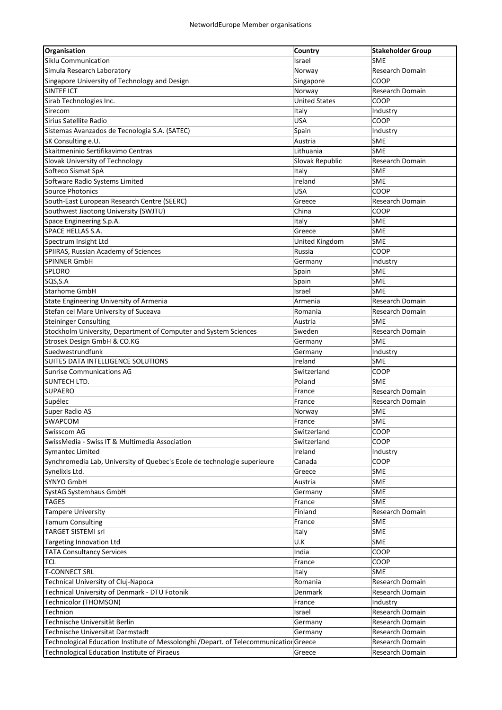| Organisation                                                                          | Country               | <b>Stakeholder Group</b> |
|---------------------------------------------------------------------------------------|-----------------------|--------------------------|
| Siklu Communication                                                                   | Israel                | <b>SME</b>               |
| Simula Research Laboratory                                                            | Norway                | Research Domain          |
| Singapore University of Technology and Design                                         | Singapore             | COOP                     |
| <b>SINTEF ICT</b>                                                                     | Norway                | Research Domain          |
| Sirab Technologies Inc.                                                               | <b>United States</b>  | COOP                     |
| Sirecom                                                                               | Italy                 | Industry                 |
| Sirius Satellite Radio                                                                | <b>USA</b>            | COOP                     |
| Sistemas Avanzados de Tecnologia S.A. (SATEC)                                         | Spain                 | Industry                 |
| SK Consulting e.U.                                                                    | Austria               | <b>SME</b>               |
| Skaitmeninio Sertifikavimo Centras                                                    | Lithuania             | <b>SME</b>               |
| Slovak University of Technology                                                       | Slovak Republic       | Research Domain          |
| Softeco Sismat SpA                                                                    | Italy                 | SME                      |
| Software Radio Systems Limited                                                        | Ireland               | lsme                     |
| <b>Source Photonics</b>                                                               | <b>USA</b>            | COOP                     |
| South-East European Research Centre (SEERC)                                           | Greece                | Research Domain          |
| Southwest Jiaotong University (SWJTU)                                                 | China                 | COOP                     |
| Space Engineering S.p.A.                                                              | Italy                 | <b>SME</b>               |
| SPACE HELLAS S.A.                                                                     | Greece                | <b>SME</b>               |
| Spectrum Insight Ltd                                                                  | <b>United Kingdom</b> | <b>SME</b>               |
| SPIIRAS, Russian Academy of Sciences                                                  | Russia                | COOP                     |
| <b>SPINNER GmbH</b>                                                                   | Germany               | Industry                 |
| <b>SPLORO</b>                                                                         | Spain                 | <b>SME</b>               |
| SQS, S.A                                                                              | Spain                 | SME                      |
| <b>Starhome GmbH</b>                                                                  | Israel                | <b>SME</b>               |
| State Engineering University of Armenia                                               | Armenia               | Research Domain          |
| Stefan cel Mare University of Suceava                                                 |                       | Research Domain          |
| <b>Steininger Consulting</b>                                                          | Romania<br>Austria    | <b>SME</b>               |
| Stockholm University, Department of Computer and System Sciences                      | Sweden                | Research Domain          |
| Strosek Design GmbH & CO.KG                                                           |                       | <b>SME</b>               |
| Suedwestrundfunk                                                                      | Germany               |                          |
| SUITE5 DATA INTELLIGENCE SOLUTIONS                                                    | Germany<br>Ireland    | Industry<br><b>SME</b>   |
| <b>Sunrise Communications AG</b>                                                      | Switzerland           | COOP                     |
| <b>SUNTECH LTD.</b>                                                                   | Poland                | lsme                     |
| <b>SUPAERO</b>                                                                        |                       | <b>Research Domain</b>   |
|                                                                                       | France                |                          |
| Supélec                                                                               | France                | Research Domain          |
| Super Radio AS                                                                        | Norway                | <b>SME</b>               |
| SWAPCOM                                                                               | France                | SME                      |
| Swisscom AG                                                                           | Switzerland           | COOP                     |
| SwissMedia - Swiss IT & Multimedia Association                                        | Switzerland           | COOP                     |
| <b>Symantec Limited</b>                                                               | Ireland               | Industry                 |
| Synchromedia Lab, University of Quebec's Ecole de technologie superieure              | Canada                | COOP                     |
| Synelixis Ltd.                                                                        | Greece                | <b>SME</b>               |
| SYNYO GmbH                                                                            | Austria               | SME                      |
| SystAG Systemhaus GmbH                                                                | Germany               | <b>SME</b>               |
| <b>TAGES</b>                                                                          | France                | <b>SME</b>               |
| <b>Tampere University</b>                                                             | Finland               | Research Domain          |
| <b>Tamum Consulting</b>                                                               | France                | <b>SME</b>               |
| <b>TARGET SISTEMI srl</b>                                                             | Italy                 | SME                      |
| Targeting Innovation Ltd                                                              | U.K                   | SME                      |
| <b>TATA Consultancy Services</b>                                                      | India                 | COOP                     |
| <b>TCL</b>                                                                            | France                | COOP                     |
| <b>T-CONNECT SRL</b>                                                                  | Italy                 | <b>SME</b>               |
| Technical University of Cluj-Napoca                                                   | Romania               | Research Domain          |
| Technical University of Denmark - DTU Fotonik                                         | Denmark               | Research Domain          |
| Technicolor (THOMSON)                                                                 | France                | Industry                 |
| Technion                                                                              | Israel                | Research Domain          |
| Technische Universität Berlin                                                         | Germany               | Research Domain          |
| Technische Universitat Darmstadt                                                      | Germany               | Research Domain          |
| Technological Education Institute of Messolonghi /Depart. of Telecommunicatior Greece |                       | Research Domain          |
| <b>Technological Education Institute of Piraeus</b>                                   | Greece                | Research Domain          |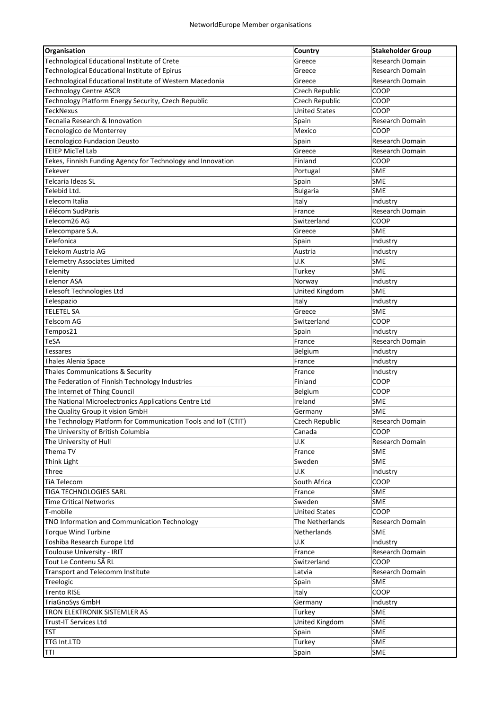| Organisation                                                   | Country               | <b>Stakeholder Group</b> |
|----------------------------------------------------------------|-----------------------|--------------------------|
| Technological Educational Institute of Crete                   | Greece                | Research Domain          |
| Technological Educational Institute of Epirus                  | Greece                | Research Domain          |
| Technological Educational Institute of Western Macedonia       | Greece                | Research Domain          |
| <b>Technology Centre ASCR</b>                                  | Czech Republic        | COOP                     |
| Technology Platform Energy Security, Czech Republic            | Czech Republic        | COOP                     |
| TeckNexus                                                      | <b>United States</b>  | COOP                     |
| Tecnalia Research & Innovation                                 | Spain                 | Research Domain          |
| Tecnologico de Monterrey                                       | Mexico                | COOP                     |
| <b>Tecnologico Fundacion Deusto</b>                            | Spain                 | <b>Research Domain</b>   |
| <b>TEIEP MicTel Lab</b>                                        | Greece                | <b>Research Domain</b>   |
| Tekes, Finnish Funding Agency for Technology and Innovation    | Finland               | COOP                     |
| Tekever                                                        | Portugal              | <b>SME</b>               |
| Telcaria Ideas SL                                              | Spain                 | <b>SME</b>               |
| Telebid Ltd.                                                   | <b>Bulgaria</b>       | <b>SME</b>               |
| Telecom Italia                                                 | Italy                 | Industry                 |
| Télécom SudParis                                               | France                | Research Domain          |
| Telecom26 AG                                                   | Switzerland           | COOP                     |
| Telecompare S.A.                                               | Greece                | <b>SME</b>               |
| Telefonica                                                     | Spain                 | Industry                 |
| Telekom Austria AG                                             | Austria               | Industry                 |
| <b>Telemetry Associates Limited</b>                            | U.K                   | <b>SME</b>               |
| Telenity                                                       | Turkey                | SME                      |
| <b>Telenor ASA</b>                                             | Norway                | Industry                 |
| <b>Telesoft Technologies Ltd</b>                               | <b>United Kingdom</b> | <b>SME</b>               |
| Telespazio                                                     | Italy                 | Industry                 |
| <b>TELETEL SA</b>                                              | Greece                | SME                      |
| <b>Telscom AG</b>                                              | Switzerland           | COOP                     |
| Tempos21                                                       | Spain                 | Industry                 |
| TeSA                                                           | France                | Research Domain          |
| <b>Tessares</b>                                                | Belgium               | Industry                 |
| Thales Alenia Space                                            | France                | Industry                 |
| Thales Communications & Security                               | France                | Industry                 |
| The Federation of Finnish Technology Industries                | Finland               | COOP                     |
| The Internet of Thing Council                                  | Belgium               | COOP                     |
| The National Microelectronics Applications Centre Ltd          | Ireland               | <b>SME</b>               |
| The Quality Group it vision GmbH                               | Germany               | <b>SME</b>               |
| The Technology Platform for Communication Tools and IoT (CTIT) | Czech Republic        | Research Domain          |
| The University of British Columbia                             | Canada                | COOP                     |
| The University of Hull                                         | U.K                   | Research Domain          |
| Thema TV                                                       | France                | <b>SME</b>               |
| <b>Think Light</b>                                             | Sweden                | <b>SME</b>               |
| Three                                                          | U.K                   | Industry                 |
| <b>TiA Telecom</b>                                             | South Africa          | COOP                     |
| <b>TIGA TECHNOLOGIES SARL</b>                                  | France                | <b>SME</b>               |
| <b>Time Critical Networks</b>                                  | Sweden                | <b>SME</b>               |
| T-mobile                                                       | <b>United States</b>  | COOP                     |
| TNO Information and Communication Technology                   | The Netherlands       | Research Domain          |
| <b>Torque Wind Turbine</b>                                     | <b>Netherlands</b>    | <b>SME</b>               |
| Toshiba Research Europe Ltd                                    | U.K                   | Industry                 |
| Toulouse University - IRIT                                     | France                | Research Domain          |
| Tout Le Contenu SÃ RL                                          | Switzerland           | COOP                     |
| Transport and Telecomm Institute                               | Latvia                | Research Domain          |
| Treelogic                                                      | Spain                 | SME                      |
| <b>Trento RISE</b>                                             |                       | COOP                     |
|                                                                | Italy<br>Germany      |                          |
| <b>TriaGnoSys GmbH</b><br>TRON ELEKTRONIK SISTEMLER AS         |                       | Industry                 |
|                                                                | Turkey                | <b>SME</b>               |
| <b>Trust-IT Services Ltd</b>                                   | United Kingdom        | <b>SME</b>               |
| <b>TST</b>                                                     | Spain                 | <b>SME</b>               |
| TTG Int.LTD                                                    | Turkey                | <b>SME</b>               |
| TTI                                                            | Spain                 | <b>SME</b>               |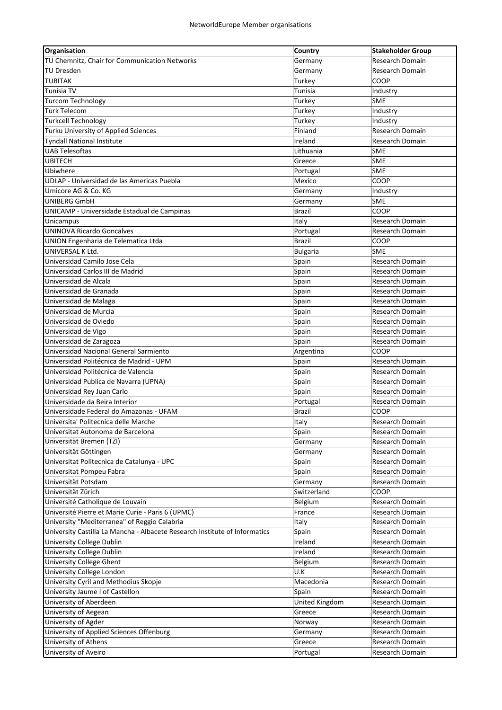| Organisation                                                               | Country         | Stakeholder Group      |
|----------------------------------------------------------------------------|-----------------|------------------------|
| TU Chemnitz, Chair for Communication Networks                              | Germany         | Research Domain        |
| <b>TU Dresden</b>                                                          | Germany         | Research Domain        |
| <b>TUBITAK</b>                                                             | Turkey          | COOP                   |
| Tunisia TV                                                                 | Tunisia         | Industry               |
| <b>Turcom Technology</b>                                                   | Turkey          | SME                    |
| <b>Turk Telecom</b>                                                        | Turkey          | Industry               |
| <b>Turkcell Technology</b>                                                 | Turkey          | Industry               |
| Turku University of Applied Sciences                                       | Finland         | Research Domain        |
| <b>Tyndall National Institute</b>                                          | Ireland         | Research Domain        |
| <b>UAB Telesoftas</b>                                                      | Lithuania       | <b>SME</b>             |
| <b>UBITECH</b>                                                             | Greece          | <b>SME</b>             |
| Ubiwhere                                                                   | Portugal        | <b>SME</b>             |
| UDLAP - Universidad de las Americas Puebla                                 | Mexico          | COOP                   |
| Umicore AG & Co. KG                                                        | Germany         | Industry               |
| UNIBERG GmbH                                                               | Germany         | <b>SME</b>             |
| UNICAMP - Universidade Estadual de Campinas                                | <b>Brazil</b>   | COOP                   |
| Unicampus                                                                  | Italy           | Research Domain        |
| <b>UNINOVA Ricardo Goncalves</b>                                           | Portugal        | Research Domain        |
| UNION Engenharia de Telematica Ltda                                        | <b>Brazil</b>   | COOP                   |
| UNIVERSAL K Ltd.                                                           | <b>Bulgaria</b> | <b>SME</b>             |
| Universidad Camilo Jose Cela                                               | Spain           | <b>Research Domain</b> |
| Universidad Carlos III de Madrid                                           |                 | <b>Research Domain</b> |
|                                                                            | Spain           |                        |
| Universidad de Alcala                                                      | Spain           | <b>Research Domain</b> |
| Universidad de Granada                                                     | Spain           | <b>Research Domain</b> |
| Universidad de Malaga                                                      | Spain           | <b>Research Domain</b> |
| Universidad de Murcia                                                      | Spain           | Research Domain        |
| Universidad de Oviedo                                                      | Spain           | Research Domain        |
| Universidad de Vigo                                                        | Spain           | Research Domain        |
| Universidad de Zaragoza                                                    | Spain           | Research Domain        |
| Universidad Nacional General Sarmiento                                     | Argentina       | COOP                   |
| Universidad Politécnica de Madrid - UPM                                    | Spain           | <b>Research Domain</b> |
| Universidad Politécnica de Valencia                                        | Spain           | <b>Research Domain</b> |
| Universidad Publica de Navarra (UPNA)                                      | Spain           | <b>Research Domain</b> |
| Universidad Rey Juan Carlo                                                 | Spain           | <b>Research Domain</b> |
| Universidade da Beira Interior                                             | Portugal        | Research Domain        |
| Universidade Federal do Amazonas - UFAM                                    | <b>Brazil</b>   | <b>COOP</b>            |
| Universita' Politecnica delle Marche                                       | Italy           | Research Domain        |
| Universitat Autonoma de Barcelona                                          | Spain           | Research Domain        |
| Universität Bremen (TZI)                                                   | Germany         | <b>Research Domain</b> |
| Universität Göttingen                                                      | Germany         | Research Domain        |
| Universitat Politecnica de Catalunya - UPC                                 | Spain           | Research Domain        |
| Universitat Pompeu Fabra                                                   | Spain           | Research Domain        |
| Universität Potsdam                                                        | Germany         | Research Domain        |
| Universität Zürich                                                         | Switzerland     | COOP                   |
| Université Catholique de Louvain                                           | Belgium         | Research Domain        |
| Université Pierre et Marie Curie - Paris 6 (UPMC)                          | France          | Research Domain        |
| University "Mediterranea" of Reggio Calabria                               | Italy           | Research Domain        |
| University Castilla La Mancha - Albacete Research Institute of Informatics | Spain           | Research Domain        |
| University College Dublin                                                  | Ireland         | Research Domain        |
| University College Dublin                                                  | Ireland         | Research Domain        |
| <b>University College Ghent</b>                                            | Belgium         | Research Domain        |
| University College London                                                  | U.K             | Research Domain        |
| University Cyril and Methodius Skopje                                      | Macedonia       | Research Domain        |
| University Jaume I of Castellon                                            | Spain           | Research Domain        |
| University of Aberdeen                                                     | United Kingdom  | Research Domain        |
| University of Aegean                                                       | Greece          | Research Domain        |
| University of Agder                                                        | Norway          | Research Domain        |
| University of Applied Sciences Offenburg                                   | Germany         | Research Domain        |
| University of Athens                                                       |                 | Research Domain        |
|                                                                            | Greece          |                        |
| University of Aveiro                                                       | Portugal        | Research Domain        |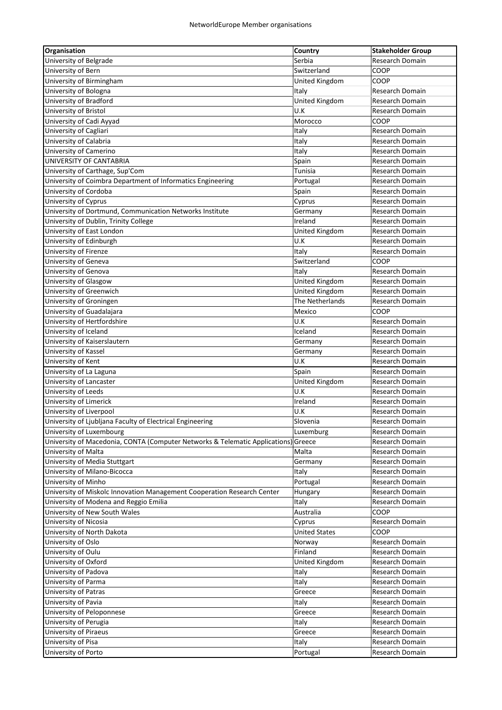| Organisation                                                                       | Country               | <b>Stakeholder Group</b> |
|------------------------------------------------------------------------------------|-----------------------|--------------------------|
| University of Belgrade                                                             | Serbia                | Research Domain          |
| University of Bern                                                                 | Switzerland           | COOP                     |
| University of Birmingham                                                           | United Kingdom        | COOP                     |
| University of Bologna                                                              | Italy                 | <b>Research Domain</b>   |
| University of Bradford                                                             | United Kingdom        | Research Domain          |
| University of Bristol                                                              | U.K                   | Research Domain          |
| University of Cadi Ayyad                                                           | Morocco               | COOP                     |
| University of Cagliari                                                             | Italy                 | Research Domain          |
| University of Calabria                                                             | Italy                 | Research Domain          |
| University of Camerino                                                             | Italy                 | Research Domain          |
| UNIVERSITY OF CANTABRIA                                                            | Spain                 | Research Domain          |
| University of Carthage, Sup'Com                                                    | Tunisia               | Research Domain          |
| University of Coimbra Department of Informatics Engineering                        | Portugal              | Research Domain          |
| University of Cordoba                                                              | Spain                 | Research Domain          |
| University of Cyprus                                                               | Cyprus                | Research Domain          |
| University of Dortmund, Communication Networks Institute                           | Germany               | <b>Research Domain</b>   |
| University of Dublin, Trinity College                                              | Ireland               | <b>Research Domain</b>   |
|                                                                                    |                       |                          |
| University of East London                                                          | <b>United Kingdom</b> | <b>Research Domain</b>   |
| University of Edinburgh                                                            | U.K                   | Research Domain          |
| University of Firenze                                                              | Italy                 | Research Domain          |
| University of Geneva                                                               | Switzerland           | COOP                     |
| University of Genova                                                               | Italy                 | Research Domain          |
| University of Glasgow                                                              | United Kingdom        | Research Domain          |
| University of Greenwich                                                            | United Kingdom        | Research Domain          |
| University of Groningen                                                            | The Netherlands       | Research Domain          |
| University of Guadalajara                                                          | Mexico                | COOP                     |
| University of Hertfordshire                                                        | U.K                   | Research Domain          |
| University of Iceland                                                              | Iceland               | Research Domain          |
| University of Kaiserslautern                                                       | Germany               | Research Domain          |
| University of Kassel                                                               | Germany               | Research Domain          |
| University of Kent                                                                 | U.K                   | Research Domain          |
| University of La Laguna                                                            | Spain                 | Research Domain          |
| University of Lancaster                                                            | United Kingdom        | Research Domain          |
| University of Leeds                                                                | U.K                   | <b>Research Domain</b>   |
| University of Limerick                                                             | Ireland               | Research Domain          |
| University of Liverpool                                                            | U.K                   | Research Domain          |
| University of Ljubljana Faculty of Electrical Engineering                          | Slovenia              | Research Domain          |
| University of Luxembourg                                                           | Luxemburg             | Research Domain          |
| University of Macedonia, CONTA (Computer Networks & Telematic Applications) Greece |                       | Research Domain          |
| University of Malta                                                                | Malta                 | Research Domain          |
| University of Media Stuttgart                                                      | Germany               | Research Domain          |
| University of Milano-Bicocca                                                       | Italy                 | Research Domain          |
| University of Minho                                                                | Portugal              | Research Domain          |
| University of Miskolc Innovation Management Cooperation Research Center            | Hungary               | Research Domain          |
| University of Modena and Reggio Emilia                                             | Italy                 | Research Domain          |
| University of New South Wales                                                      | Australia             | COOP                     |
|                                                                                    |                       | Research Domain          |
| University of Nicosia                                                              | Cyprus                |                          |
| University of North Dakota                                                         | <b>United States</b>  | COOP                     |
| University of Oslo                                                                 | Norway                | Research Domain          |
| University of Oulu                                                                 | Finland               | Research Domain          |
| University of Oxford                                                               | United Kingdom        | Research Domain          |
| University of Padova                                                               | Italy                 | Research Domain          |
| University of Parma                                                                | Italy                 | Research Domain          |
| University of Patras                                                               | Greece                | Research Domain          |
| University of Pavia                                                                | Italy                 | Research Domain          |
| University of Peloponnese                                                          | Greece                | Research Domain          |
| University of Perugia                                                              | Italy                 | Research Domain          |
| University of Piraeus                                                              | Greece                | Research Domain          |
| University of Pisa                                                                 | Italy                 | Research Domain          |
| University of Porto                                                                | Portugal              | Research Domain          |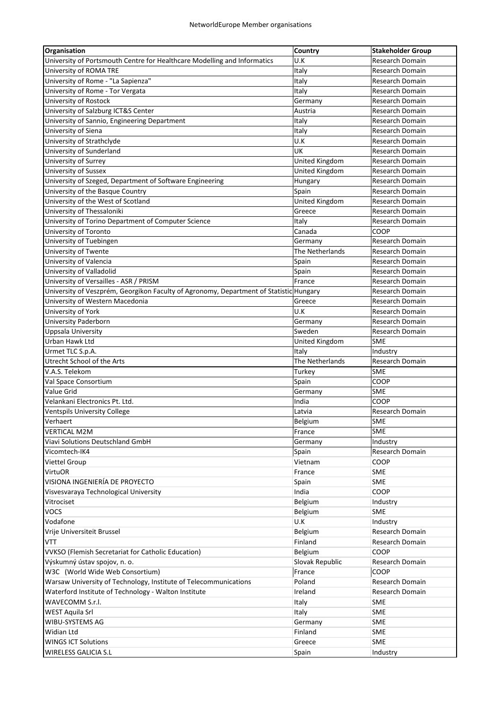| Organisation                                                                           | <b>Country</b>  | <b>Stakeholder Group</b> |
|----------------------------------------------------------------------------------------|-----------------|--------------------------|
| University of Portsmouth Centre for Healthcare Modelling and Informatics               | U.K             | Research Domain          |
| University of ROMA TRE                                                                 | Italy           | Research Domain          |
| University of Rome - "La Sapienza"                                                     | Italy           | Research Domain          |
| University of Rome - Tor Vergata                                                       | Italy           | Research Domain          |
| University of Rostock                                                                  | Germany         | Research Domain          |
| University of Salzburg ICT&S Center                                                    | Austria         | Research Domain          |
| University of Sannio, Engineering Department                                           | Italy           | Research Domain          |
| University of Siena                                                                    | Italy           | Research Domain          |
| University of Strathclyde                                                              | U.K             | <b>Research Domain</b>   |
| University of Sunderland                                                               | UK              | Research Domain          |
| University of Surrey                                                                   | United Kingdom  | Research Domain          |
| University of Sussex                                                                   | United Kingdom  | Research Domain          |
| University of Szeged, Department of Software Engineering                               | Hungary         | Research Domain          |
| University of the Basque Country                                                       | Spain           | Research Domain          |
| University of the West of Scotland                                                     | United Kingdom  | Research Domain          |
| University of Thessaloniki                                                             | Greece          | Research Domain          |
| University of Torino Department of Computer Science                                    | Italy           | Research Domain          |
| University of Toronto                                                                  | Canada          | COOP                     |
| University of Tuebingen                                                                | Germany         | Research Domain          |
| University of Twente                                                                   | The Netherlands | Research Domain          |
| University of Valencia                                                                 | Spain           | <b>Research Domain</b>   |
| University of Valladolid                                                               | Spain           | Research Domain          |
| University of Versailles - ASR / PRISM                                                 | France          | Research Domain          |
| University of Veszprém, Georgikon Faculty of Agronomy, Department of Statistic Hungary |                 | Research Domain          |
| University of Western Macedonia                                                        | Greece          | Research Domain          |
| University of York                                                                     | U.K             | Research Domain          |
| University Paderborn                                                                   | Germany         | Research Domain          |
| Uppsala University                                                                     | Sweden          | Research Domain          |
| Urban Hawk Ltd                                                                         | United Kingdom  | <b>SME</b>               |
| Urmet TLC S.p.A.                                                                       | Italy           | Industry                 |
| Utrecht School of the Arts                                                             | The Netherlands | Research Domain          |
| V.A.S. Telekom                                                                         | Turkey          | <b>SME</b>               |
| Val Space Consortium                                                                   | Spain           | COOP                     |
| Value Grid                                                                             | Germany         | SME                      |
| Velankani Electronics Pt. Ltd.                                                         | India           | COOP                     |
| <b>Ventspils University College</b>                                                    | Latvia          | Research Domain          |
| Verhaert                                                                               | Belgium         | <b>SME</b>               |
| <b>VERTICAL M2M</b>                                                                    | France          | SME                      |
| <b>Viavi Solutions Deutschland GmbH</b>                                                | Germany         | Industry                 |
| Vicomtech-IK4                                                                          | Spain           | Research Domain          |
| Viettel Group                                                                          | Vietnam         | COOP                     |
| <b>VirtuOR</b>                                                                         | France          | SME                      |
| VISIONA INGENIERÍA DE PROYECTO                                                         | Spain           | SME                      |
| Visvesvaraya Technological University                                                  | India           | COOP                     |
| Vitrociset                                                                             | Belgium         | Industry                 |
| <b>VOCS</b>                                                                            | Belgium         | SME                      |
| Vodafone                                                                               | U.K             | Industry                 |
| Vrije Universiteit Brussel                                                             | Belgium         | <b>Research Domain</b>   |
| VTT                                                                                    | Finland         | Research Domain          |
| <b>VVKSO</b> (Flemish Secretariat for Catholic Education)                              | Belgium         | COOP                     |
| Výskumný ústav spojov, n. o.                                                           | Slovak Republic | Research Domain          |
| W3C (World Wide Web Consortium)                                                        | France          | COOP                     |
| Warsaw University of Technology, Institute of Telecommunications                       | Poland          | Research Domain          |
| Waterford Institute of Technology - Walton Institute                                   | Ireland         | Research Domain          |
| WAVECOMM S.r.l.                                                                        | Italy           | <b>SME</b>               |
| <b>WEST Aquila Srl</b>                                                                 | Italy           | SME                      |
| WIBU-SYSTEMS AG                                                                        | Germany         | <b>SME</b>               |
| Widian Ltd                                                                             | Finland         | <b>SME</b>               |
| <b>WINGS ICT Solutions</b>                                                             | Greece          | <b>SME</b>               |
| WIRELESS GALICIA S.L                                                                   | Spain           | Industry                 |